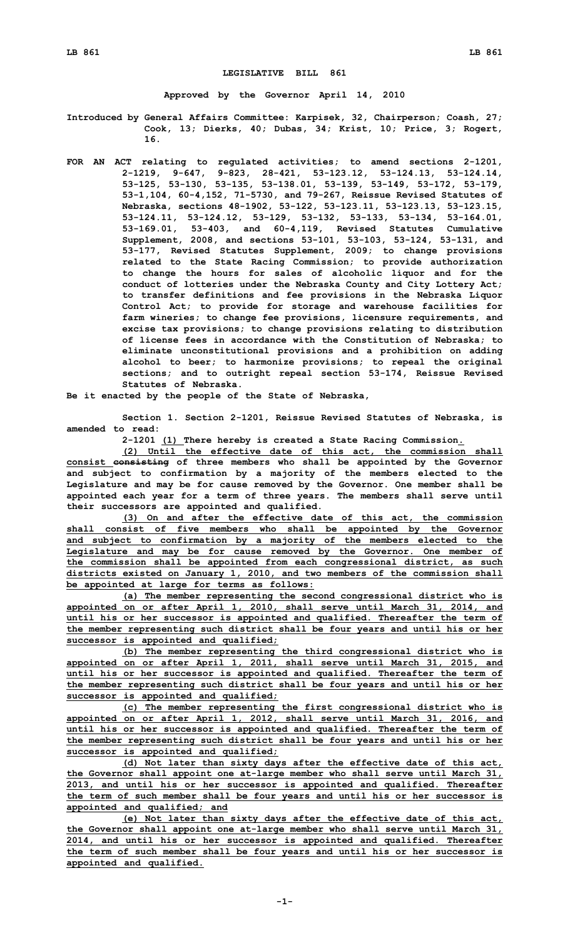## **LEGISLATIVE BILL 861**

**Approved by the Governor April 14, 2010**

**Introduced by General Affairs Committee: Karpisek, 32, Chairperson; Coash, 27; Cook, 13; Dierks, 40; Dubas, 34; Krist, 10; Price, 3; Rogert, 16.**

**FOR AN ACT relating to regulated activities; to amend sections 2-1201, 2-1219, 9-647, 9-823, 28-421, 53-123.12, 53-124.13, 53-124.14, 53-125, 53-130, 53-135, 53-138.01, 53-139, 53-149, 53-172, 53-179, 53-1,104, 60-4,152, 71-5730, and 79-267, Reissue Revised Statutes of Nebraska, sections 48-1902, 53-122, 53-123.11, 53-123.13, 53-123.15, 53-124.11, 53-124.12, 53-129, 53-132, 53-133, 53-134, 53-164.01, 53-169.01, 53-403, and 60-4,119, Revised Statutes Cumulative Supplement, 2008, and sections 53-101, 53-103, 53-124, 53-131, and 53-177, Revised Statutes Supplement, 2009; to change provisions related to the State Racing Commission; to provide authorization to change the hours for sales of alcoholic liquor and for the conduct of lotteries under the Nebraska County and City Lottery Act; to transfer definitions and fee provisions in the Nebraska Liquor Control Act; to provide for storage and warehouse facilities for farm wineries; to change fee provisions, licensure requirements, and excise tax provisions; to change provisions relating to distribution of license fees in accordance with the Constitution of Nebraska; to eliminate unconstitutional provisions and <sup>a</sup> prohibition on adding alcohol to beer; to harmonize provisions; to repeal the original sections; and to outright repeal section 53-174, Reissue Revised Statutes of Nebraska.**

**Be it enacted by the people of the State of Nebraska,**

**Section 1. Section 2-1201, Reissue Revised Statutes of Nebraska, is amended to read:**

**2-1201 (1) There hereby is created <sup>a</sup> State Racing Commission.**

**(2) Until the effective date of this act, the commission shall consist consisting of three members who shall be appointed by the Governor and subject to confirmation by <sup>a</sup> majority of the members elected to the Legislature and may be for cause removed by the Governor. One member shall be appointed each year for <sup>a</sup> term of three years. The members shall serve until their successors are appointed and qualified.**

**(3) On and after the effective date of this act, the commission shall consist of five members who shall be appointed by the Governor and subject to confirmation by <sup>a</sup> majority of the members elected to the Legislature and may be for cause removed by the Governor. One member of the commission shall be appointed from each congressional district, as such districts existed on January 1, 2010, and two members of the commission shall be appointed at large for terms as follows:**

**(a) The member representing the second congressional district who is appointed on or after April 1, 2010, shall serve until March 31, 2014, and until his or her successor is appointed and qualified. Thereafter the term of the member representing such district shall be four years and until his or her successor is appointed and qualified;**

**(b) The member representing the third congressional district who is appointed on or after April 1, 2011, shall serve until March 31, 2015, and until his or her successor is appointed and qualified. Thereafter the term of the member representing such district shall be four years and until his or her successor is appointed and qualified;**

**(c) The member representing the first congressional district who is appointed on or after April 1, 2012, shall serve until March 31, 2016, and until his or her successor is appointed and qualified. Thereafter the term of the member representing such district shall be four years and until his or her successor is appointed and qualified;**

**(d) Not later than sixty days after the effective date of this act, the Governor shall appoint one at-large member who shall serve until March 31, 2013, and until his or her successor is appointed and qualified. Thereafter the term of such member shall be four years and until his or her successor is appointed and qualified; and**

**(e) Not later than sixty days after the effective date of this act, the Governor shall appoint one at-large member who shall serve until March 31, 2014, and until his or her successor is appointed and qualified. Thereafter the term of such member shall be four years and until his or her successor is appointed and qualified.**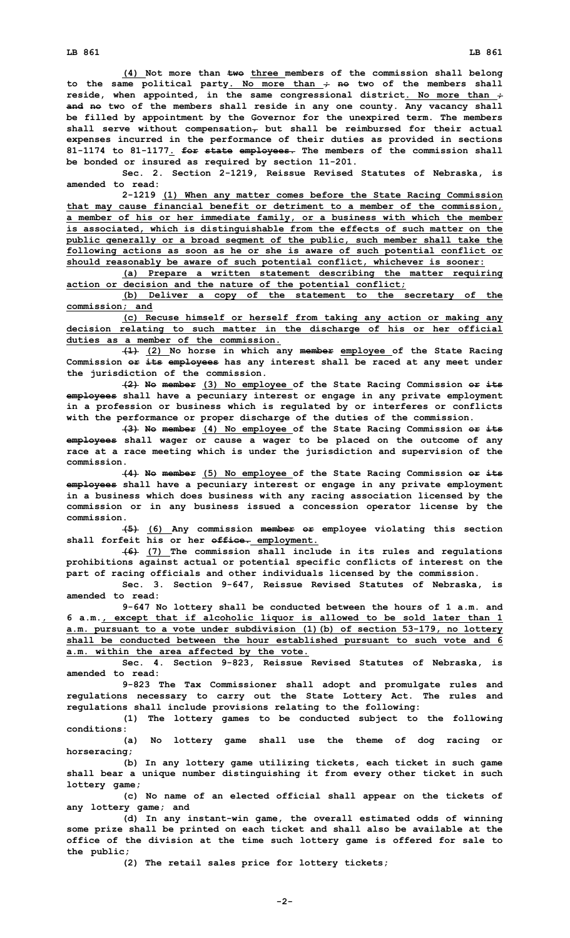**(4) Not more than two three members of the commission shall belong to the same political party. No more than ; no two of the members shall reside, when appointed, in the same congressional district. No more than ; and no two of the members shall reside in any one county. Any vacancy shall be filled by appointment by the Governor for the unexpired term. The members shall serve without compensation, but shall be reimbursed for their actual expenses incurred in the performance of their duties as provided in sections 81-1174 to 81-1177. for state employees. The members of the commission shall be bonded or insured as required by section 11-201.**

**Sec. 2. Section 2-1219, Reissue Revised Statutes of Nebraska, is amended to read:**

**2-1219 (1) When any matter comes before the State Racing Commission that may cause financial benefit or detriment to <sup>a</sup> member of the commission, <sup>a</sup> member of his or her immediate family, or <sup>a</sup> business with which the member is associated, which is distinguishable from the effects of such matter on the public generally or <sup>a</sup> broad segment of the public, such member shall take the following actions as soon as he or she is aware of such potential conflict or should reasonably be aware of such potential conflict, whichever is sooner:**

**(a) Prepare <sup>a</sup> written statement describing the matter requiring action or decision and the nature of the potential conflict;**

**(b) Deliver <sup>a</sup> copy of the statement to the secretary of the commission; and**

**(c) Recuse himself or herself from taking any action or making any decision relating to such matter in the discharge of his or her official duties as a member of the commission.**

**(1) (2) No horse in which any member employee of the State Racing Commission or its employees has any interest shall be raced at any meet under the jurisdiction of the commission.**

**(2) No member (3) No employee of the State Racing Commission or its employees shall have <sup>a</sup> pecuniary interest or engage in any private employment in <sup>a</sup> profession or business which is regulated by or interferes or conflicts with the performance or proper discharge of the duties of the commission.**

**(3) No member (4) No employee of the State Racing Commission or its employees shall wager or cause <sup>a</sup> wager to be placed on the outcome of any race at <sup>a</sup> race meeting which is under the jurisdiction and supervision of the commission.**

**(4) No member (5) No employee of the State Racing Commission or its employees shall have <sup>a</sup> pecuniary interest or engage in any private employment in <sup>a</sup> business which does business with any racing association licensed by the commission or in any business issued <sup>a</sup> concession operator license by the commission.**

**(5) (6) Any commission member or employee violating this section shall forfeit his or her office. employment.**

**(6) (7) The commission shall include in its rules and regulations prohibitions against actual or potential specific conflicts of interest on the part of racing officials and other individuals licensed by the commission.**

**Sec. 3. Section 9-647, Reissue Revised Statutes of Nebraska, is amended to read:**

**9-647 No lottery shall be conducted between the hours of 1 a.m. and 6 a.m., except that if alcoholic liquor is allowed to be sold later than 1 a.m. pursuant to <sup>a</sup> vote under subdivision (1)(b) of section 53-179, no lottery shall be conducted between the hour established pursuant to such vote and 6 a.m. within the area affected by the vote.**

**Sec. 4. Section 9-823, Reissue Revised Statutes of Nebraska, is amended to read:**

**9-823 The Tax Commissioner shall adopt and promulgate rules and regulations necessary to carry out the State Lottery Act. The rules and regulations shall include provisions relating to the following:**

**(1) The lottery games to be conducted subject to the following conditions:**

**(a) No lottery game shall use the theme of dog racing or horseracing;**

**(b) In any lottery game utilizing tickets, each ticket in such game shall bear <sup>a</sup> unique number distinguishing it from every other ticket in such lottery game;**

**(c) No name of an elected official shall appear on the tickets of any lottery game; and**

**(d) In any instant-win game, the overall estimated odds of winning some prize shall be printed on each ticket and shall also be available at the office of the division at the time such lottery game is offered for sale to the public;**

**(2) The retail sales price for lottery tickets;**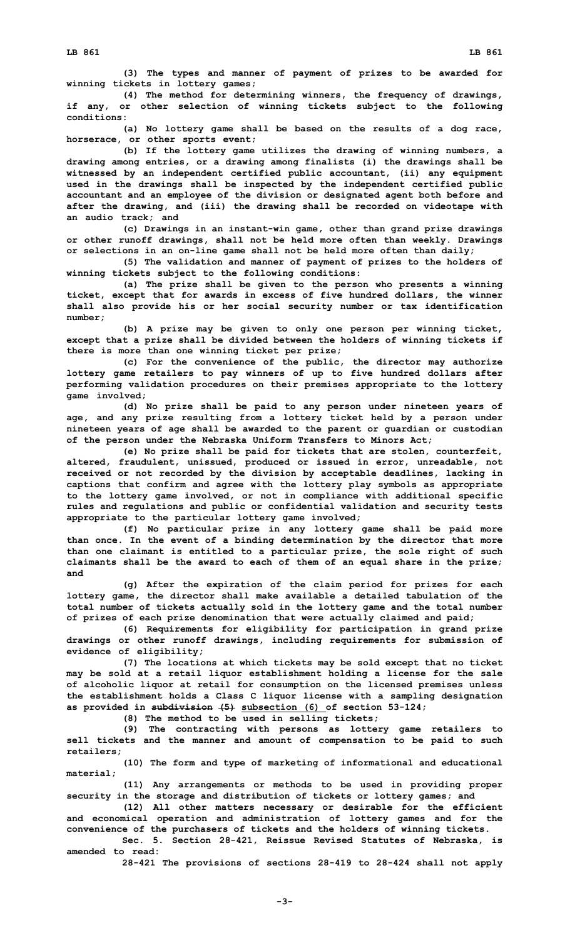**(4) The method for determining winners, the frequency of drawings, if any, or other selection of winning tickets subject to the following conditions:**

**(a) No lottery game shall be based on the results of <sup>a</sup> dog race, horserace, or other sports event;**

**(b) If the lottery game utilizes the drawing of winning numbers, <sup>a</sup> drawing among entries, or <sup>a</sup> drawing among finalists (i) the drawings shall be witnessed by an independent certified public accountant, (ii) any equipment used in the drawings shall be inspected by the independent certified public accountant and an employee of the division or designated agent both before and after the drawing, and (iii) the drawing shall be recorded on videotape with an audio track; and**

**(c) Drawings in an instant-win game, other than grand prize drawings or other runoff drawings, shall not be held more often than weekly. Drawings or selections in an on-line game shall not be held more often than daily;**

**(5) The validation and manner of payment of prizes to the holders of winning tickets subject to the following conditions:**

**(a) The prize shall be given to the person who presents <sup>a</sup> winning ticket, except that for awards in excess of five hundred dollars, the winner shall also provide his or her social security number or tax identification number;**

**(b) <sup>A</sup> prize may be given to only one person per winning ticket, except that <sup>a</sup> prize shall be divided between the holders of winning tickets if there is more than one winning ticket per prize;**

**(c) For the convenience of the public, the director may authorize lottery game retailers to pay winners of up to five hundred dollars after performing validation procedures on their premises appropriate to the lottery game involved;**

**(d) No prize shall be paid to any person under nineteen years of age, and any prize resulting from <sup>a</sup> lottery ticket held by <sup>a</sup> person under nineteen years of age shall be awarded to the parent or guardian or custodian of the person under the Nebraska Uniform Transfers to Minors Act;**

**(e) No prize shall be paid for tickets that are stolen, counterfeit, altered, fraudulent, unissued, produced or issued in error, unreadable, not received or not recorded by the division by acceptable deadlines, lacking in captions that confirm and agree with the lottery play symbols as appropriate to the lottery game involved, or not in compliance with additional specific rules and regulations and public or confidential validation and security tests appropriate to the particular lottery game involved;**

**(f) No particular prize in any lottery game shall be paid more than once. In the event of <sup>a</sup> binding determination by the director that more than one claimant is entitled to <sup>a</sup> particular prize, the sole right of such claimants shall be the award to each of them of an equal share in the prize; and**

**(g) After the expiration of the claim period for prizes for each lottery game, the director shall make available <sup>a</sup> detailed tabulation of the total number of tickets actually sold in the lottery game and the total number of prizes of each prize denomination that were actually claimed and paid;**

**(6) Requirements for eligibility for participation in grand prize drawings or other runoff drawings, including requirements for submission of evidence of eligibility;**

**(7) The locations at which tickets may be sold except that no ticket may be sold at <sup>a</sup> retail liquor establishment holding <sup>a</sup> license for the sale of alcoholic liquor at retail for consumption on the licensed premises unless the establishment holds <sup>a</sup> Class C liquor license with <sup>a</sup> sampling designation as provided in subdivision (5) subsection (6) of section 53-124;**

**(8) The method to be used in selling tickets;**

**(9) The contracting with persons as lottery game retailers to sell tickets and the manner and amount of compensation to be paid to such retailers;**

**(10) The form and type of marketing of informational and educational material;**

**(11) Any arrangements or methods to be used in providing proper security in the storage and distribution of tickets or lottery games; and**

**(12) All other matters necessary or desirable for the efficient and economical operation and administration of lottery games and for the convenience of the purchasers of tickets and the holders of winning tickets.**

**Sec. 5. Section 28-421, Reissue Revised Statutes of Nebraska, is amended to read:**

**28-421 The provisions of sections 28-419 to 28-424 shall not apply**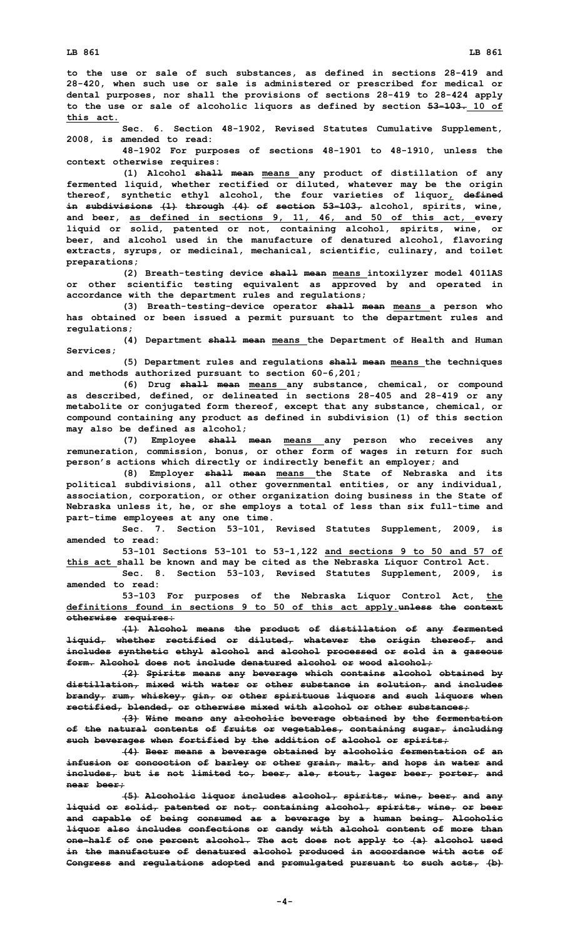**to the use or sale of such substances, as defined in sections 28-419 and 28-420, when such use or sale is administered or prescribed for medical or dental purposes, nor shall the provisions of sections 28-419 to 28-424 apply to the use or sale of alcoholic liquors as defined by section 53-103. 10 of this act.**

**Sec. 6. Section 48-1902, Revised Statutes Cumulative Supplement, 2008, is amended to read:**

**48-1902 For purposes of sections 48-1901 to 48-1910, unless the context otherwise requires:**

**(1) Alcohol shall mean means any product of distillation of any fermented liquid, whether rectified or diluted, whatever may be the origin thereof, synthetic ethyl alcohol, the four varieties of liquor, defined in subdivisions (1) through (4) of section 53-103, alcohol, spirits, wine, and beer, as defined in sections 9, 11, 46, and 50 of this act, every liquid or solid, patented or not, containing alcohol, spirits, wine, or beer, and alcohol used in the manufacture of denatured alcohol, flavoring extracts, syrups, or medicinal, mechanical, scientific, culinary, and toilet preparations;**

**(2) Breath-testing device shall mean means intoxilyzer model 4011AS or other scientific testing equivalent as approved by and operated in accordance with the department rules and regulations;**

**(3) Breath-testing-device operator shall mean means <sup>a</sup> person who has obtained or been issued <sup>a</sup> permit pursuant to the department rules and regulations;**

**(4) Department shall mean means the Department of Health and Human Services;**

**(5) Department rules and regulations shall mean means the techniques and methods authorized pursuant to section 60-6,201;**

**(6) Drug shall mean means any substance, chemical, or compound as described, defined, or delineated in sections 28-405 and 28-419 or any metabolite or conjugated form thereof, except that any substance, chemical, or compound containing any product as defined in subdivision (1) of this section may also be defined as alcohol;**

**(7) Employee shall mean means any person who receives any remuneration, commission, bonus, or other form of wages in return for such person's actions which directly or indirectly benefit an employer; and**

**(8) Employer shall mean means the State of Nebraska and its political subdivisions, all other governmental entities, or any individual, association, corporation, or other organization doing business in the State of Nebraska unless it, he, or she employs <sup>a</sup> total of less than six full-time and part-time employees at any one time.**

**Sec. 7. Section 53-101, Revised Statutes Supplement, 2009, is amended to read:**

**53-101 Sections 53-101 to 53-1,122 and sections 9 to 50 and 57 of this act shall be known and may be cited as the Nebraska Liquor Control Act.**

**Sec. 8. Section 53-103, Revised Statutes Supplement, 2009, is amended to read:**

**53-103 For purposes of the Nebraska Liquor Control Act, the definitions found in sections 9 to 50 of this act apply.unless the context otherwise requires:**

**(1) Alcohol means the product of distillation of any fermented liquid, whether rectified or diluted, whatever the origin thereof, and includes synthetic ethyl alcohol and alcohol processed or sold in <sup>a</sup> gaseous form. Alcohol does not include denatured alcohol or wood alcohol;**

**(2) Spirits means any beverage which contains alcohol obtained by distillation, mixed with water or other substance in solution, and includes brandy, rum, whiskey, gin, or other spirituous liquors and such liquors when rectified, blended, or otherwise mixed with alcohol or other substances;**

**(3) Wine means any alcoholic beverage obtained by the fermentation of the natural contents of fruits or vegetables, containing sugar, including such beverages when fortified by the addition of alcohol or spirits;**

**(4) Beer means <sup>a</sup> beverage obtained by alcoholic fermentation of an infusion or concoction of barley or other grain, malt, and hops in water and includes, but is not limited to, beer, ale, stout, lager beer, porter, and near beer;**

**(5) Alcoholic liquor includes alcohol, spirits, wine, beer, and any liquid or solid, patented or not, containing alcohol, spirits, wine, or beer and capable of being consumed as <sup>a</sup> beverage by <sup>a</sup> human being. Alcoholic liquor also includes confections or candy with alcohol content of more than one-half of one percent alcohol. The act does not apply to (a) alcohol used in the manufacture of denatured alcohol produced in accordance with acts of Congress and regulations adopted and promulgated pursuant to such acts, (b)**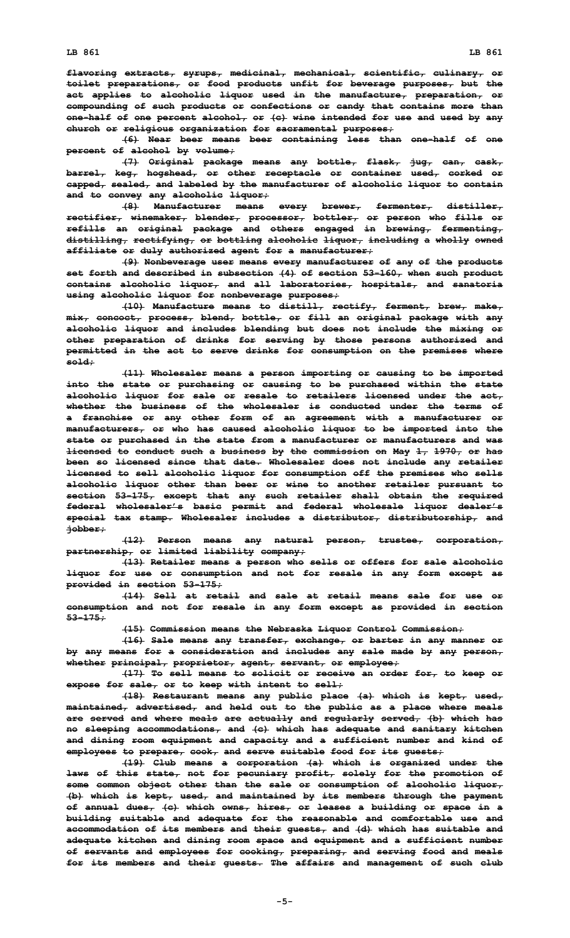**flavoring extracts, syrups, medicinal, mechanical, scientific, culinary, or toilet preparations, or food products unfit for beverage purposes, but the act applies to alcoholic liquor used in the manufacture, preparation, or compounding of such products or confections or candy that contains more than one-half of one percent alcohol, or (c) wine intended for use and used by any church or religious organization for sacramental purposes;**

**(6) Near beer means beer containing less than one-half of one percent of alcohol by volume;**

**(7) Original package means any bottle, flask, jug, can, cask, barrel, keg, hogshead, or other receptacle or container used, corked or capped, sealed, and labeled by the manufacturer of alcoholic liquor to contain and to convey any alcoholic liquor;**

**(8) Manufacturer means every brewer, fermenter, distiller, rectifier, winemaker, blender, processor, bottler, or person who fills or refills an original package and others engaged in brewing, fermenting, distilling, rectifying, or bottling alcoholic liquor, including <sup>a</sup> wholly owned affiliate or duly authorized agent for <sup>a</sup> manufacturer;**

**(9) Nonbeverage user means every manufacturer of any of the products set forth and described in subsection (4) of section 53-160, when such product contains alcoholic liquor, and all laboratories, hospitals, and sanatoria using alcoholic liquor for nonbeverage purposes;**

**(10) Manufacture means to distill, rectify, ferment, brew, make, mix, concoct, process, blend, bottle, or fill an original package with any alcoholic liquor and includes blending but does not include the mixing or other preparation of drinks for serving by those persons authorized and permitted in the act to serve drinks for consumption on the premises where sold;**

**(11) Wholesaler means <sup>a</sup> person importing or causing to be imported into the state or purchasing or causing to be purchased within the state alcoholic liquor for sale or resale to retailers licensed under the act, whether the business of the wholesaler is conducted under the terms of <sup>a</sup> franchise or any other form of an agreement with <sup>a</sup> manufacturer or manufacturers, or who has caused alcoholic liquor to be imported into the state or purchased in the state from <sup>a</sup> manufacturer or manufacturers and was licensed to conduct such <sup>a</sup> business by the commission on May 1, 1970, or has been so licensed since that date. Wholesaler does not include any retailer licensed to sell alcoholic liquor for consumption off the premises who sells alcoholic liquor other than beer or wine to another retailer pursuant to section 53-175, except that any such retailer shall obtain the required federal wholesaler's basic permit and federal wholesale liquor dealer's special tax stamp. Wholesaler includes <sup>a</sup> distributor, distributorship, and jobber;**

**(12) Person means any natural person, trustee, corporation, partnership, or limited liability company;**

**(13) Retailer means <sup>a</sup> person who sells or offers for sale alcoholic liquor for use or consumption and not for resale in any form except as provided in section 53-175;**

**(14) Sell at retail and sale at retail means sale for use or consumption and not for resale in any form except as provided in section 53-175;**

**(15) Commission means the Nebraska Liquor Control Commission;**

**(16) Sale means any transfer, exchange, or barter in any manner or by any means for <sup>a</sup> consideration and includes any sale made by any person, whether principal, proprietor, agent, servant, or employee;**

**(17) To sell means to solicit or receive an order for, to keep or expose for sale, or to keep with intent to sell;**

**(18) Restaurant means any public place (a) which is kept, used, maintained, advertised, and held out to the public as <sup>a</sup> place where meals are served and where meals are actually and regularly served, (b) which has no sleeping accommodations, and (c) which has adequate and sanitary kitchen and dining room equipment and capacity and <sup>a</sup> sufficient number and kind of employees to prepare, cook, and serve suitable food for its guests;**

**(19) Club means <sup>a</sup> corporation (a) which is organized under the laws of this state, not for pecuniary profit, solely for the promotion of some common object other than the sale or consumption of alcoholic liquor, (b) which is kept, used, and maintained by its members through the payment of annual dues, (c) which owns, hires, or leases <sup>a</sup> building or space in <sup>a</sup> building suitable and adequate for the reasonable and comfortable use and accommodation of its members and their guests, and (d) which has suitable and adequate kitchen and dining room space and equipment and <sup>a</sup> sufficient number of servants and employees for cooking, preparing, and serving food and meals for its members and their guests. The affairs and management of such club**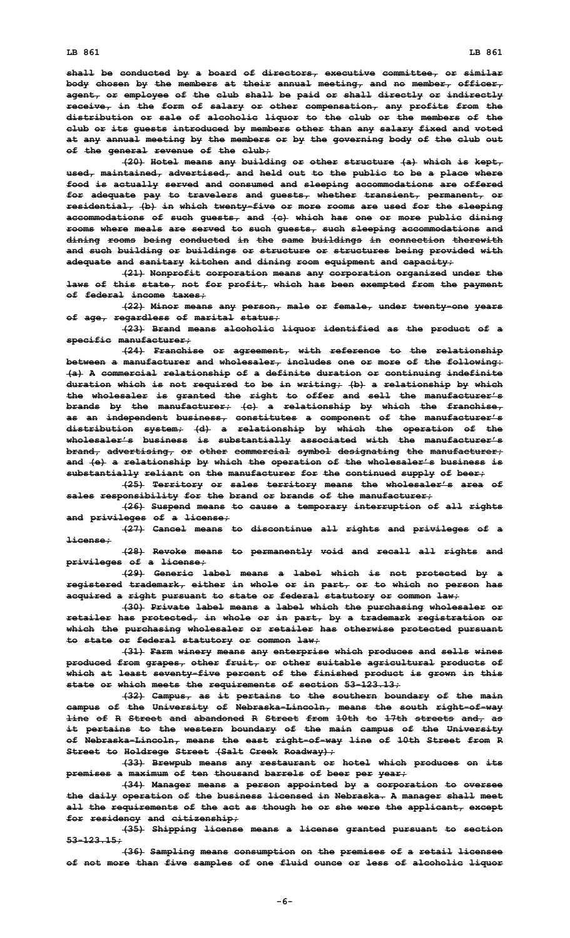**shall be conducted by <sup>a</sup> board of directors, executive committee, or similar body chosen by the members at their annual meeting, and no member, officer, agent, or employee of the club shall be paid or shall directly or indirectly receive, in the form of salary or other compensation, any profits from the distribution or sale of alcoholic liquor to the club or the members of the club or its guests introduced by members other than any salary fixed and voted at any annual meeting by the members or by the governing body of the club out of the general revenue of the club;**

**(20) Hotel means any building or other structure (a) which is kept, used, maintained, advertised, and held out to the public to be <sup>a</sup> place where food is actually served and consumed and sleeping accommodations are offered for adequate pay to travelers and guests, whether transient, permanent, or residential, (b) in which twenty-five or more rooms are used for the sleeping accommodations of such guests, and (c) which has one or more public dining rooms where meals are served to such guests, such sleeping accommodations and dining rooms being conducted in the same buildings in connection therewith and such building or buildings or structure or structures being provided with adequate and sanitary kitchen and dining room equipment and capacity;**

**(21) Nonprofit corporation means any corporation organized under the laws of this state, not for profit, which has been exempted from the payment of federal income taxes;**

**(22) Minor means any person, male or female, under twenty-one years of age, regardless of marital status;**

**(23) Brand means alcoholic liquor identified as the product of <sup>a</sup> specific manufacturer;**

**(24) Franchise or agreement, with reference to the relationship between <sup>a</sup> manufacturer and wholesaler, includes one or more of the following: (a) <sup>A</sup> commercial relationship of <sup>a</sup> definite duration or continuing indefinite duration which is not required to be in writing; (b) <sup>a</sup> relationship by which the wholesaler is granted the right to offer and sell the manufacturer's brands by the manufacturer; (c) <sup>a</sup> relationship by which the franchise, as an independent business, constitutes <sup>a</sup> component of the manufacturer's distribution system; (d) <sup>a</sup> relationship by which the operation of the wholesaler's business is substantially associated with the manufacturer's brand, advertising, or other commercial symbol designating the manufacturer; and (e) <sup>a</sup> relationship by which the operation of the wholesaler's business is substantially reliant on the manufacturer for the continued supply of beer;**

**(25) Territory or sales territory means the wholesaler's area of sales responsibility for the brand or brands of the manufacturer;**

**(26) Suspend means to cause <sup>a</sup> temporary interruption of all rights and privileges of <sup>a</sup> license;**

**(27) Cancel means to discontinue all rights and privileges of <sup>a</sup> license;**

**(28) Revoke means to permanently void and recall all rights and privileges of <sup>a</sup> license;**

**(29) Generic label means <sup>a</sup> label which is not protected by <sup>a</sup> registered trademark, either in whole or in part, or to which no person has acquired <sup>a</sup> right pursuant to state or federal statutory or common law;**

**(30) Private label means <sup>a</sup> label which the purchasing wholesaler or retailer has protected, in whole or in part, by <sup>a</sup> trademark registration or which the purchasing wholesaler or retailer has otherwise protected pursuant to state or federal statutory or common law;**

**(31) Farm winery means any enterprise which produces and sells wines produced from grapes, other fruit, or other suitable agricultural products of which at least seventy-five percent of the finished product is grown in this state or which meets the requirements of section 53-123.13;**

**(32) Campus, as it pertains to the southern boundary of the main campus of the University of Nebraska-Lincoln, means the south right-of-way line of R Street and abandoned R Street from 10th to 17th streets and, as it pertains to the western boundary of the main campus of the University of Nebraska-Lincoln, means the east right-of-way line of 10th Street from <sup>R</sup> Street to Holdrege Street (Salt Creek Roadway);**

**(33) Brewpub means any restaurant or hotel which produces on its premises <sup>a</sup> maximum of ten thousand barrels of beer per year;**

**(34) Manager means <sup>a</sup> person appointed by <sup>a</sup> corporation to oversee the daily operation of the business licensed in Nebraska. A manager shall meet all the requirements of the act as though he or she were the applicant, except for residency and citizenship;**

**(35) Shipping license means <sup>a</sup> license granted pursuant to section 53-123.15;**

**(36) Sampling means consumption on the premises of <sup>a</sup> retail licensee of not more than five samples of one fluid ounce or less of alcoholic liquor**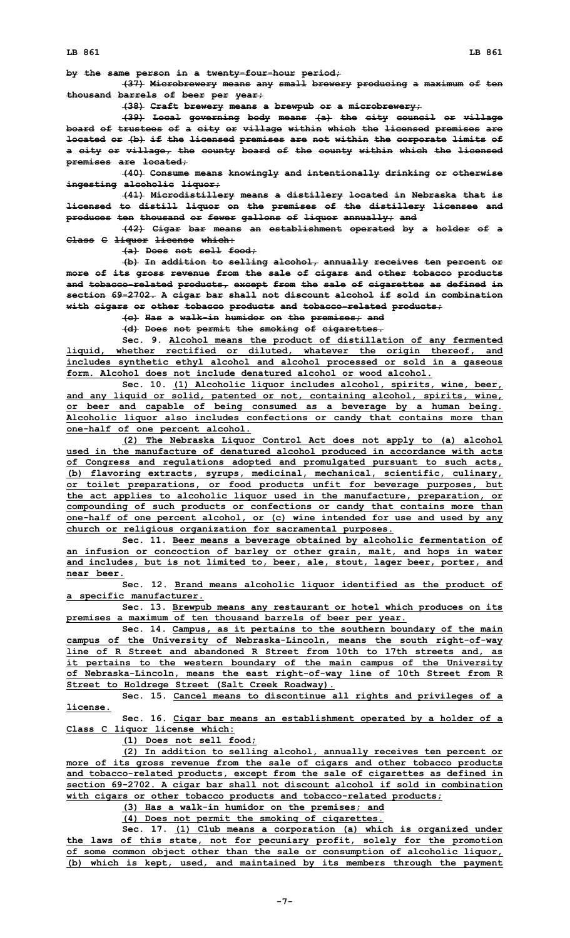**by the same person in <sup>a</sup> twenty-four-hour period;**

**(37) Microbrewery means any small brewery producing <sup>a</sup> maximum of ten thousand barrels of beer per year;**

**(38) Craft brewery means <sup>a</sup> brewpub or <sup>a</sup> microbrewery;**

**(39) Local governing body means (a) the city council or village board of trustees of <sup>a</sup> city or village within which the licensed premises are located or (b) if the licensed premises are not within the corporate limits of <sup>a</sup> city or village, the county board of the county within which the licensed premises are located;**

**(40) Consume means knowingly and intentionally drinking or otherwise ingesting alcoholic liquor;**

**(41) Microdistillery means <sup>a</sup> distillery located in Nebraska that is licensed to distill liquor on the premises of the distillery licensee and produces ten thousand or fewer gallons of liquor annually; and**

**(42) Cigar bar means an establishment operated by <sup>a</sup> holder of <sup>a</sup> Class C liquor license which:**

**(a) Does not sell food;**

**(b) In addition to selling alcohol, annually receives ten percent or more of its gross revenue from the sale of cigars and other tobacco products and tobacco-related products, except from the sale of cigarettes as defined in section 69-2702. <sup>A</sup> cigar bar shall not discount alcohol if sold in combination with cigars or other tobacco products and tobacco-related products;**

**(c) Has <sup>a</sup> walk-in humidor on the premises; and**

**(d) Does not permit the smoking of cigarettes.**

**Sec. 9. Alcohol means the product of distillation of any fermented liquid, whether rectified or diluted, whatever the origin thereof, and includes synthetic ethyl alcohol and alcohol processed or sold in <sup>a</sup> gaseous form. Alcohol does not include denatured alcohol or wood alcohol.**

**Sec. 10. (1) Alcoholic liquor includes alcohol, spirits, wine, beer, and any liquid or solid, patented or not, containing alcohol, spirits, wine, or beer and capable of being consumed as <sup>a</sup> beverage by <sup>a</sup> human being. Alcoholic liquor also includes confections or candy that contains more than one-half of one percent alcohol.**

**(2) The Nebraska Liquor Control Act does not apply to (a) alcohol used in the manufacture of denatured alcohol produced in accordance with acts of Congress and regulations adopted and promulgated pursuant to such acts, (b) flavoring extracts, syrups, medicinal, mechanical, scientific, culinary, or toilet preparations, or food products unfit for beverage purposes, but the act applies to alcoholic liquor used in the manufacture, preparation, or compounding of such products or confections or candy that contains more than one-half of one percent alcohol, or (c) wine intended for use and used by any church or religious organization for sacramental purposes.**

**Sec. 11. Beer means <sup>a</sup> beverage obtained by alcoholic fermentation of an infusion or concoction of barley or other grain, malt, and hops in water and includes, but is not limited to, beer, ale, stout, lager beer, porter, and near beer.**

**Sec. 12. Brand means alcoholic liquor identified as the product of <sup>a</sup> specific manufacturer.**

**Sec. 13. Brewpub means any restaurant or hotel which produces on its premises <sup>a</sup> maximum of ten thousand barrels of beer per year.**

**Sec. 14. Campus, as it pertains to the southern boundary of the main campus of the University of Nebraska-Lincoln, means the south right-of-way line of R Street and abandoned R Street from 10th to 17th streets and, as it pertains to the western boundary of the main campus of the University of Nebraska-Lincoln, means the east right-of-way line of 10th Street from <sup>R</sup> Street to Holdrege Street (Salt Creek Roadway).**

**Sec. 15. Cancel means to discontinue all rights and privileges of <sup>a</sup> license.**

**Sec. 16. Cigar bar means an establishment operated by <sup>a</sup> holder of <sup>a</sup> Class C liquor license which:**

**(1) Does not sell food;**

**(2) In addition to selling alcohol, annually receives ten percent or more of its gross revenue from the sale of cigars and other tobacco products and tobacco-related products, except from the sale of cigarettes as defined in section 69-2702. <sup>A</sup> cigar bar shall not discount alcohol if sold in combination with cigars or other tobacco products and tobacco-related products;**

**(3) Has <sup>a</sup> walk-in humidor on the premises; and**

**(4) Does not permit the smoking of cigarettes.**

**Sec. 17. (1) Club means <sup>a</sup> corporation (a) which is organized under the laws of this state, not for pecuniary profit, solely for the promotion of some common object other than the sale or consumption of alcoholic liquor, (b) which is kept, used, and maintained by its members through the payment**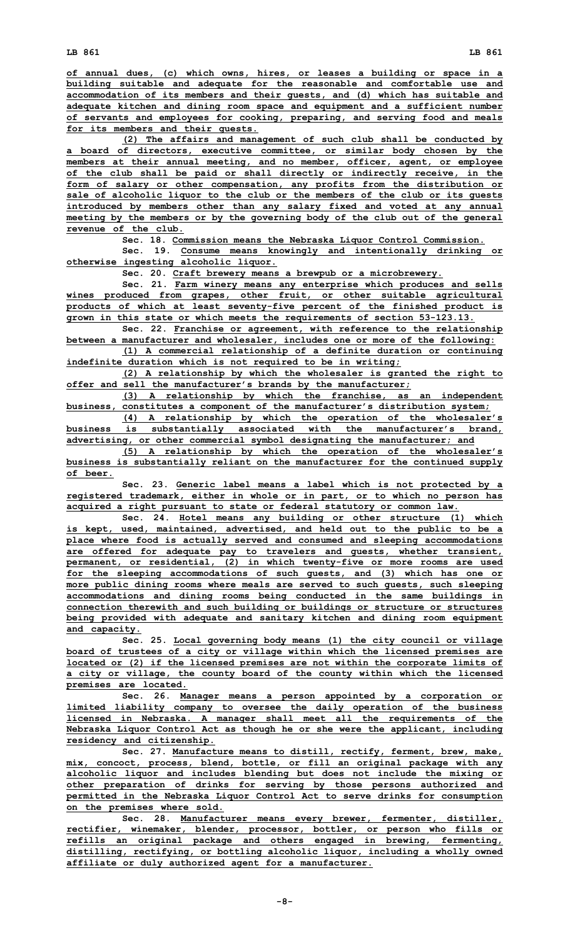**of annual dues, (c) which owns, hires, or leases <sup>a</sup> building or space in <sup>a</sup> building suitable and adequate for the reasonable and comfortable use and accommodation of its members and their guests, and (d) which has suitable and adequate kitchen and dining room space and equipment and <sup>a</sup> sufficient number of servants and employees for cooking, preparing, and serving food and meals for its members and their guests.**

**(2) The affairs and management of such club shall be conducted by <sup>a</sup> board of directors, executive committee, or similar body chosen by the members at their annual meeting, and no member, officer, agent, or employee of the club shall be paid or shall directly or indirectly receive, in the form of salary or other compensation, any profits from the distribution or sale of alcoholic liquor to the club or the members of the club or its guests introduced by members other than any salary fixed and voted at any annual meeting by the members or by the governing body of the club out of the general revenue of the club.**

**Sec. 18. Commission means the Nebraska Liquor Control Commission.**

**Sec. 19. Consume means knowingly and intentionally drinking or otherwise ingesting alcoholic liquor.**

**Sec. 20. Craft brewery means <sup>a</sup> brewpub or <sup>a</sup> microbrewery.**

**Sec. 21. Farm winery means any enterprise which produces and sells wines produced from grapes, other fruit, or other suitable agricultural products of which at least seventy-five percent of the finished product is grown in this state or which meets the requirements of section 53-123.13.**

**Sec. 22. Franchise or agreement, with reference to the relationship between <sup>a</sup> manufacturer and wholesaler, includes one or more of the following:**

**(1) <sup>A</sup> commercial relationship of <sup>a</sup> definite duration or continuing indefinite duration which is not required to be in writing;**

**(2) <sup>A</sup> relationship by which the wholesaler is granted the right to offer and sell the manufacturer's brands by the manufacturer;**

**(3) <sup>A</sup> relationship by which the franchise, as an independent business, constitutes <sup>a</sup> component of the manufacturer's distribution system;**

**(4) <sup>A</sup> relationship by which the operation of the wholesaler's business is substantially associated with the manufacturer's brand, advertising, or other commercial symbol designating the manufacturer; and**

**(5) <sup>A</sup> relationship by which the operation of the wholesaler's business is substantially reliant on the manufacturer for the continued supply of beer.**

**Sec. 23. Generic label means <sup>a</sup> label which is not protected by <sup>a</sup> registered trademark, either in whole or in part, or to which no person has acquired <sup>a</sup> right pursuant to state or federal statutory or common law.**

**Sec. 24. Hotel means any building or other structure (1) which is kept, used, maintained, advertised, and held out to the public to be <sup>a</sup> place where food is actually served and consumed and sleeping accommodations are offered for adequate pay to travelers and guests, whether transient, permanent, or residential, (2) in which twenty-five or more rooms are used for the sleeping accommodations of such guests, and (3) which has one or more public dining rooms where meals are served to such guests, such sleeping accommodations and dining rooms being conducted in the same buildings in connection therewith and such building or buildings or structure or structures being provided with adequate and sanitary kitchen and dining room equipment and capacity.**

**Sec. 25. Local governing body means (1) the city council or village board of trustees of <sup>a</sup> city or village within which the licensed premises are located or (2) if the licensed premises are not within the corporate limits of <sup>a</sup> city or village, the county board of the county within which the licensed premises are located.**

**Sec. 26. Manager means <sup>a</sup> person appointed by <sup>a</sup> corporation or limited liability company to oversee the daily operation of the business licensed in Nebraska. A manager shall meet all the requirements of the Nebraska Liquor Control Act as though he or she were the applicant, including residency and citizenship.**

**Sec. 27. Manufacture means to distill, rectify, ferment, brew, make, mix, concoct, process, blend, bottle, or fill an original package with any alcoholic liquor and includes blending but does not include the mixing or other preparation of drinks for serving by those persons authorized and permitted in the Nebraska Liquor Control Act to serve drinks for consumption on the premises where sold.**

**Sec. 28. Manufacturer means every brewer, fermenter, distiller, rectifier, winemaker, blender, processor, bottler, or person who fills or refills an original package and others engaged in brewing, fermenting, distilling, rectifying, or bottling alcoholic liquor, including <sup>a</sup> wholly owned affiliate or duly authorized agent for <sup>a</sup> manufacturer.**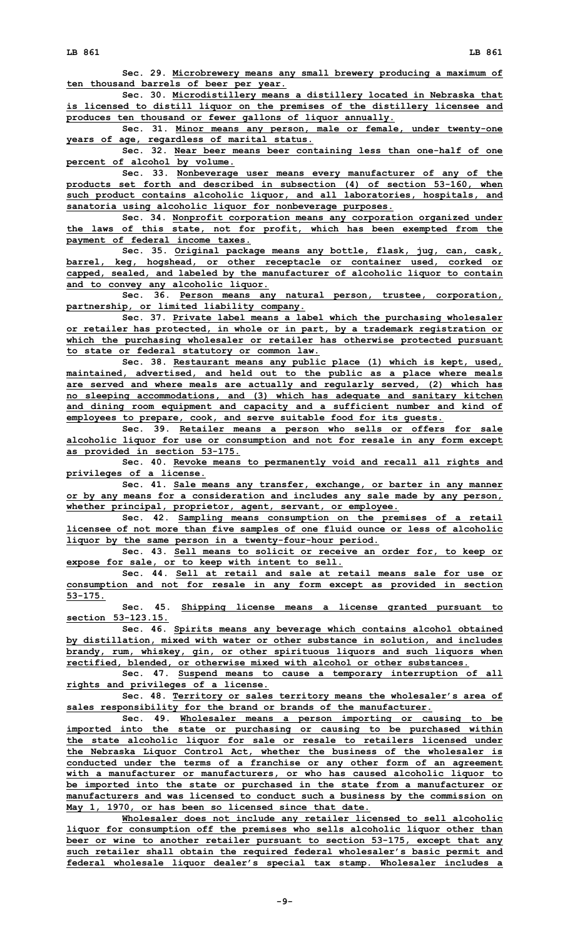**Sec. 29. Microbrewery means any small brewery producing <sup>a</sup> maximum of ten thousand barrels of beer per year.**

**Sec. 30. Microdistillery means <sup>a</sup> distillery located in Nebraska that is licensed to distill liquor on the premises of the distillery licensee and produces ten thousand or fewer gallons of liquor annually.**

**Sec. 31. Minor means any person, male or female, under twenty-one years of age, regardless of marital status.**

**Sec. 32. Near beer means beer containing less than one-half of one percent of alcohol by volume.**

**Sec. 33. Nonbeverage user means every manufacturer of any of the products set forth and described in subsection (4) of section 53-160, when such product contains alcoholic liquor, and all laboratories, hospitals, and sanatoria using alcoholic liquor for nonbeverage purposes.**

**Sec. 34. Nonprofit corporation means any corporation organized under the laws of this state, not for profit, which has been exempted from the payment of federal income taxes.**

**Sec. 35. Original package means any bottle, flask, jug, can, cask, barrel, keg, hogshead, or other receptacle or container used, corked or capped, sealed, and labeled by the manufacturer of alcoholic liquor to contain and to convey any alcoholic liquor.**

**Sec. 36. Person means any natural person, trustee, corporation, partnership, or limited liability company.**

**Sec. 37. Private label means <sup>a</sup> label which the purchasing wholesaler or retailer has protected, in whole or in part, by <sup>a</sup> trademark registration or which the purchasing wholesaler or retailer has otherwise protected pursuant to state or federal statutory or common law.**

**Sec. 38. Restaurant means any public place (1) which is kept, used, maintained, advertised, and held out to the public as <sup>a</sup> place where meals are served and where meals are actually and regularly served, (2) which has no sleeping accommodations, and (3) which has adequate and sanitary kitchen and dining room equipment and capacity and <sup>a</sup> sufficient number and kind of employees to prepare, cook, and serve suitable food for its guests.**

**Sec. 39. Retailer means <sup>a</sup> person who sells or offers for sale alcoholic liquor for use or consumption and not for resale in any form except as provided in section 53-175.**

**Sec. 40. Revoke means to permanently void and recall all rights and privileges of <sup>a</sup> license.**

**Sec. 41. Sale means any transfer, exchange, or barter in any manner or by any means for <sup>a</sup> consideration and includes any sale made by any person, whether principal, proprietor, agent, servant, or employee.**

**Sec. 42. Sampling means consumption on the premises of <sup>a</sup> retail licensee of not more than five samples of one fluid ounce or less of alcoholic liquor by the same person in <sup>a</sup> twenty-four-hour period.**

**Sec. 43. Sell means to solicit or receive an order for, to keep or expose for sale, or to keep with intent to sell.**

**Sec. 44. Sell at retail and sale at retail means sale for use or consumption and not for resale in any form except as provided in section 53-175.**

**Sec. 45. Shipping license means <sup>a</sup> license granted pursuant to section 53-123.15.**

**Sec. 46. Spirits means any beverage which contains alcohol obtained by distillation, mixed with water or other substance in solution, and includes brandy, rum, whiskey, gin, or other spirituous liquors and such liquors when rectified, blended, or otherwise mixed with alcohol or other substances.**

**Sec. 47. Suspend means to cause <sup>a</sup> temporary interruption of all rights and privileges of <sup>a</sup> license.**

**Sec. 48. Territory or sales territory means the wholesaler's area of sales responsibility for the brand or brands of the manufacturer.**

**Sec. 49. Wholesaler means <sup>a</sup> person importing or causing to be imported into the state or purchasing or causing to be purchased within the state alcoholic liquor for sale or resale to retailers licensed under the Nebraska Liquor Control Act, whether the business of the wholesaler is conducted under the terms of <sup>a</sup> franchise or any other form of an agreement with <sup>a</sup> manufacturer or manufacturers, or who has caused alcoholic liquor to be imported into the state or purchased in the state from <sup>a</sup> manufacturer or manufacturers and was licensed to conduct such <sup>a</sup> business by the commission on May 1, 1970, or has been so licensed since that date.**

**Wholesaler does not include any retailer licensed to sell alcoholic liquor for consumption off the premises who sells alcoholic liquor other than beer or wine to another retailer pursuant to section 53-175, except that any such retailer shall obtain the required federal wholesaler's basic permit and federal wholesale liquor dealer's special tax stamp. Wholesaler includes <sup>a</sup>**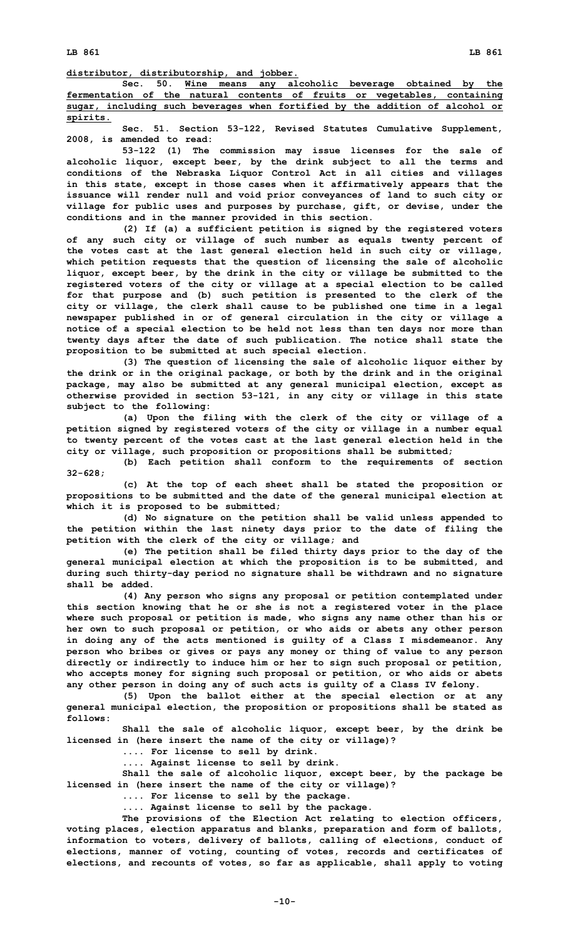**Sec. 50. Wine means any alcoholic beverage obtained by the fermentation of the natural contents of fruits or vegetables, containing sugar, including such beverages when fortified by the addition of alcohol or spirits.**

**Sec. 51. Section 53-122, Revised Statutes Cumulative Supplement, 2008, is amended to read:**

**53-122 (1) The commission may issue licenses for the sale of alcoholic liquor, except beer, by the drink subject to all the terms and conditions of the Nebraska Liquor Control Act in all cities and villages in this state, except in those cases when it affirmatively appears that the issuance will render null and void prior conveyances of land to such city or village for public uses and purposes by purchase, gift, or devise, under the conditions and in the manner provided in this section.**

**(2) If (a) <sup>a</sup> sufficient petition is signed by the registered voters of any such city or village of such number as equals twenty percent of the votes cast at the last general election held in such city or village, which petition requests that the question of licensing the sale of alcoholic liquor, except beer, by the drink in the city or village be submitted to the registered voters of the city or village at <sup>a</sup> special election to be called for that purpose and (b) such petition is presented to the clerk of the city or village, the clerk shall cause to be published one time in <sup>a</sup> legal newspaper published in or of general circulation in the city or village <sup>a</sup> notice of <sup>a</sup> special election to be held not less than ten days nor more than twenty days after the date of such publication. The notice shall state the proposition to be submitted at such special election.**

**(3) The question of licensing the sale of alcoholic liquor either by the drink or in the original package, or both by the drink and in the original package, may also be submitted at any general municipal election, except as otherwise provided in section 53-121, in any city or village in this state subject to the following:**

**(a) Upon the filing with the clerk of the city or village of <sup>a</sup> petition signed by registered voters of the city or village in <sup>a</sup> number equal to twenty percent of the votes cast at the last general election held in the city or village, such proposition or propositions shall be submitted;**

**(b) Each petition shall conform to the requirements of section 32-628;**

**(c) At the top of each sheet shall be stated the proposition or propositions to be submitted and the date of the general municipal election at which it is proposed to be submitted;**

**(d) No signature on the petition shall be valid unless appended to the petition within the last ninety days prior to the date of filing the petition with the clerk of the city or village; and**

**(e) The petition shall be filed thirty days prior to the day of the general municipal election at which the proposition is to be submitted, and during such thirty-day period no signature shall be withdrawn and no signature shall be added.**

**(4) Any person who signs any proposal or petition contemplated under this section knowing that he or she is not <sup>a</sup> registered voter in the place where such proposal or petition is made, who signs any name other than his or her own to such proposal or petition, or who aids or abets any other person in doing any of the acts mentioned is guilty of <sup>a</sup> Class I misdemeanor. Any person who bribes or gives or pays any money or thing of value to any person directly or indirectly to induce him or her to sign such proposal or petition, who accepts money for signing such proposal or petition, or who aids or abets any other person in doing any of such acts is guilty of <sup>a</sup> Class IV felony.**

**(5) Upon the ballot either at the special election or at any general municipal election, the proposition or propositions shall be stated as follows:**

**Shall the sale of alcoholic liquor, except beer, by the drink be licensed in (here insert the name of the city or village)?**

**.... For license to sell by drink.**

**.... Against license to sell by drink.**

**Shall the sale of alcoholic liquor, except beer, by the package be licensed in (here insert the name of the city or village)?**

**.... For license to sell by the package.**

**.... Against license to sell by the package.**

**The provisions of the Election Act relating to election officers, voting places, election apparatus and blanks, preparation and form of ballots, information to voters, delivery of ballots, calling of elections, conduct of elections, manner of voting, counting of votes, records and certificates of elections, and recounts of votes, so far as applicable, shall apply to voting**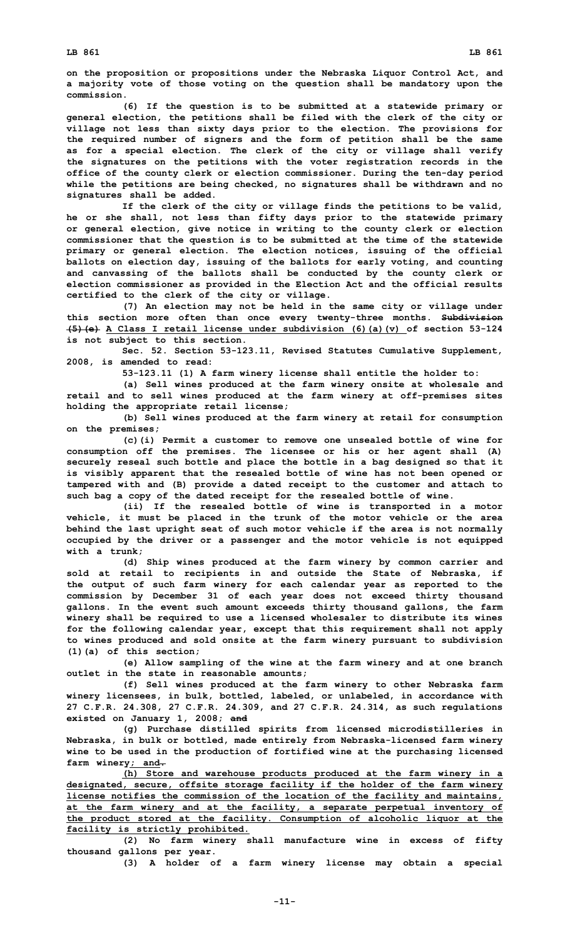**on the proposition or propositions under the Nebraska Liquor Control Act, and <sup>a</sup> majority vote of those voting on the question shall be mandatory upon the commission.**

**(6) If the question is to be submitted at <sup>a</sup> statewide primary or general election, the petitions shall be filed with the clerk of the city or village not less than sixty days prior to the election. The provisions for the required number of signers and the form of petition shall be the same as for <sup>a</sup> special election. The clerk of the city or village shall verify the signatures on the petitions with the voter registration records in the office of the county clerk or election commissioner. During the ten-day period while the petitions are being checked, no signatures shall be withdrawn and no signatures shall be added.**

**If the clerk of the city or village finds the petitions to be valid, he or she shall, not less than fifty days prior to the statewide primary or general election, give notice in writing to the county clerk or election commissioner that the question is to be submitted at the time of the statewide primary or general election. The election notices, issuing of the official ballots on election day, issuing of the ballots for early voting, and counting and canvassing of the ballots shall be conducted by the county clerk or election commissioner as provided in the Election Act and the official results certified to the clerk of the city or village.**

**(7) An election may not be held in the same city or village under this section more often than once every twenty-three months. Subdivision (5)(e) A Class I retail license under subdivision (6)(a)(v) of section 53-124 is not subject to this section.**

**Sec. 52. Section 53-123.11, Revised Statutes Cumulative Supplement, 2008, is amended to read:**

**53-123.11 (1) <sup>A</sup> farm winery license shall entitle the holder to:**

**(a) Sell wines produced at the farm winery onsite at wholesale and retail and to sell wines produced at the farm winery at off-premises sites holding the appropriate retail license;**

**(b) Sell wines produced at the farm winery at retail for consumption on the premises;**

**(c)(i) Permit <sup>a</sup> customer to remove one unsealed bottle of wine for consumption off the premises. The licensee or his or her agent shall (A) securely reseal such bottle and place the bottle in <sup>a</sup> bag designed so that it is visibly apparent that the resealed bottle of wine has not been opened or tampered with and (B) provide <sup>a</sup> dated receipt to the customer and attach to such bag <sup>a</sup> copy of the dated receipt for the resealed bottle of wine.**

**(ii) If the resealed bottle of wine is transported in <sup>a</sup> motor vehicle, it must be placed in the trunk of the motor vehicle or the area behind the last upright seat of such motor vehicle if the area is not normally occupied by the driver or <sup>a</sup> passenger and the motor vehicle is not equipped with <sup>a</sup> trunk;**

**(d) Ship wines produced at the farm winery by common carrier and sold at retail to recipients in and outside the State of Nebraska, if the output of such farm winery for each calendar year as reported to the commission by December 31 of each year does not exceed thirty thousand gallons. In the event such amount exceeds thirty thousand gallons, the farm winery shall be required to use <sup>a</sup> licensed wholesaler to distribute its wines for the following calendar year, except that this requirement shall not apply to wines produced and sold onsite at the farm winery pursuant to subdivision (1)(a) of this section;**

**(e) Allow sampling of the wine at the farm winery and at one branch outlet in the state in reasonable amounts;**

**(f) Sell wines produced at the farm winery to other Nebraska farm winery licensees, in bulk, bottled, labeled, or unlabeled, in accordance with 27 C.F.R. 24.308, 27 C.F.R. 24.309, and 27 C.F.R. 24.314, as such regulations existed on January 1, 2008; and**

**(g) Purchase distilled spirits from licensed microdistilleries in Nebraska, in bulk or bottled, made entirely from Nebraska-licensed farm winery wine to be used in the production of fortified wine at the purchasing licensed farm winery; and.**

**(h) Store and warehouse products produced at the farm winery in <sup>a</sup> designated, secure, offsite storage facility if the holder of the farm winery license notifies the commission of the location of the facility and maintains, at the farm winery and at the facility, <sup>a</sup> separate perpetual inventory of the product stored at the facility. Consumption of alcoholic liquor at the facility is strictly prohibited.**

**(2) No farm winery shall manufacture wine in excess of fifty thousand gallons per year.**

**(3) <sup>A</sup> holder of <sup>a</sup> farm winery license may obtain <sup>a</sup> special**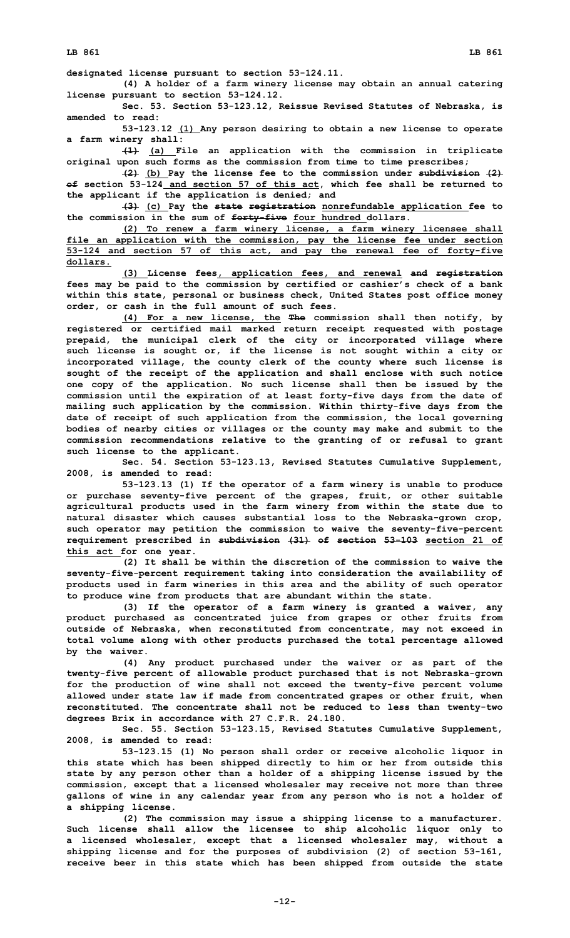**designated license pursuant to section 53-124.11.**

**(4) <sup>A</sup> holder of <sup>a</sup> farm winery license may obtain an annual catering license pursuant to section 53-124.12.**

**Sec. 53. Section 53-123.12, Reissue Revised Statutes of Nebraska, is amended to read:**

**53-123.12 (1) Any person desiring to obtain <sup>a</sup> new license to operate <sup>a</sup> farm winery shall:**

**(1) (a) File an application with the commission in triplicate original upon such forms as the commission from time to time prescribes;**

**(2) (b) Pay the license fee to the commission under subdivision (2) of section 53-124 and section 57 of this act, which fee shall be returned to the applicant if the application is denied; and**

**(3) (c) Pay the state registration nonrefundable application fee to the commission in the sum of forty-five four hundred dollars.**

**(2) To renew <sup>a</sup> farm winery license, <sup>a</sup> farm winery licensee shall file an application with the commission, pay the license fee under section 53-124 and section 57 of this act, and pay the renewal fee of forty-five dollars.**

**(3) License fees, application fees, and renewal and registration fees may be paid to the commission by certified or cashier's check of <sup>a</sup> bank within this state, personal or business check, United States post office money order, or cash in the full amount of such fees.**

**(4) For <sup>a</sup> new license, the The commission shall then notify, by registered or certified mail marked return receipt requested with postage prepaid, the municipal clerk of the city or incorporated village where such license is sought or, if the license is not sought within <sup>a</sup> city or incorporated village, the county clerk of the county where such license is sought of the receipt of the application and shall enclose with such notice one copy of the application. No such license shall then be issued by the commission until the expiration of at least forty-five days from the date of mailing such application by the commission. Within thirty-five days from the date of receipt of such application from the commission, the local governing bodies of nearby cities or villages or the county may make and submit to the commission recommendations relative to the granting of or refusal to grant such license to the applicant.**

**Sec. 54. Section 53-123.13, Revised Statutes Cumulative Supplement, 2008, is amended to read:**

**53-123.13 (1) If the operator of <sup>a</sup> farm winery is unable to produce or purchase seventy-five percent of the grapes, fruit, or other suitable agricultural products used in the farm winery from within the state due to natural disaster which causes substantial loss to the Nebraska-grown crop, such operator may petition the commission to waive the seventy-five-percent requirement prescribed in subdivision (31) of section 53-103 section 21 of this act for one year.**

**(2) It shall be within the discretion of the commission to waive the seventy-five-percent requirement taking into consideration the availability of products used in farm wineries in this area and the ability of such operator to produce wine from products that are abundant within the state.**

**(3) If the operator of <sup>a</sup> farm winery is granted <sup>a</sup> waiver, any product purchased as concentrated juice from grapes or other fruits from outside of Nebraska, when reconstituted from concentrate, may not exceed in total volume along with other products purchased the total percentage allowed by the waiver.**

**(4) Any product purchased under the waiver or as part of the twenty-five percent of allowable product purchased that is not Nebraska-grown for the production of wine shall not exceed the twenty-five percent volume allowed under state law if made from concentrated grapes or other fruit, when reconstituted. The concentrate shall not be reduced to less than twenty-two degrees Brix in accordance with 27 C.F.R. 24.180.**

**Sec. 55. Section 53-123.15, Revised Statutes Cumulative Supplement, 2008, is amended to read:**

**53-123.15 (1) No person shall order or receive alcoholic liquor in this state which has been shipped directly to him or her from outside this state by any person other than <sup>a</sup> holder of <sup>a</sup> shipping license issued by the commission, except that <sup>a</sup> licensed wholesaler may receive not more than three gallons of wine in any calendar year from any person who is not <sup>a</sup> holder of <sup>a</sup> shipping license.**

**(2) The commission may issue <sup>a</sup> shipping license to <sup>a</sup> manufacturer. Such license shall allow the licensee to ship alcoholic liquor only to <sup>a</sup> licensed wholesaler, except that <sup>a</sup> licensed wholesaler may, without <sup>a</sup> shipping license and for the purposes of subdivision (2) of section 53-161, receive beer in this state which has been shipped from outside the state**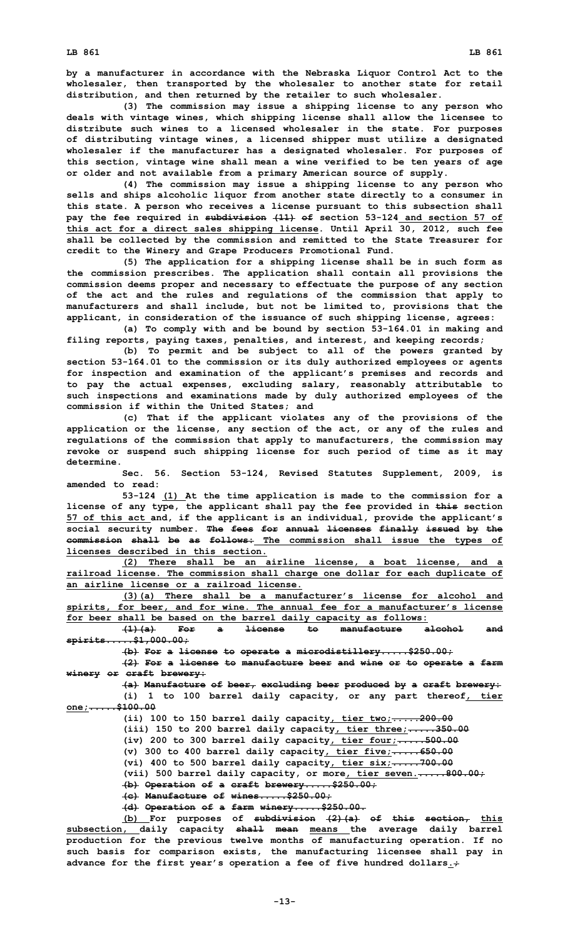**by <sup>a</sup> manufacturer in accordance with the Nebraska Liquor Control Act to the wholesaler, then transported by the wholesaler to another state for retail distribution, and then returned by the retailer to such wholesaler.**

**(3) The commission may issue <sup>a</sup> shipping license to any person who deals with vintage wines, which shipping license shall allow the licensee to distribute such wines to <sup>a</sup> licensed wholesaler in the state. For purposes of distributing vintage wines, <sup>a</sup> licensed shipper must utilize <sup>a</sup> designated wholesaler if the manufacturer has <sup>a</sup> designated wholesaler. For purposes of this section, vintage wine shall mean <sup>a</sup> wine verified to be ten years of age or older and not available from <sup>a</sup> primary American source of supply.**

**(4) The commission may issue <sup>a</sup> shipping license to any person who sells and ships alcoholic liquor from another state directly to <sup>a</sup> consumer in this state. A person who receives <sup>a</sup> license pursuant to this subsection shall pay the fee required in subdivision (11) of section 53-124 and section 57 of this act for <sup>a</sup> direct sales shipping license. Until April 30, 2012, such fee shall be collected by the commission and remitted to the State Treasurer for credit to the Winery and Grape Producers Promotional Fund.**

**(5) The application for <sup>a</sup> shipping license shall be in such form as the commission prescribes. The application shall contain all provisions the commission deems proper and necessary to effectuate the purpose of any section of the act and the rules and regulations of the commission that apply to manufacturers and shall include, but not be limited to, provisions that the applicant, in consideration of the issuance of such shipping license, agrees:**

**(a) To comply with and be bound by section 53-164.01 in making and filing reports, paying taxes, penalties, and interest, and keeping records;**

**(b) To permit and be subject to all of the powers granted by section 53-164.01 to the commission or its duly authorized employees or agents for inspection and examination of the applicant's premises and records and to pay the actual expenses, excluding salary, reasonably attributable to such inspections and examinations made by duly authorized employees of the commission if within the United States; and**

**(c) That if the applicant violates any of the provisions of the application or the license, any section of the act, or any of the rules and regulations of the commission that apply to manufacturers, the commission may revoke or suspend such shipping license for such period of time as it may determine.**

**Sec. 56. Section 53-124, Revised Statutes Supplement, 2009, is amended to read:**

**53-124 (1) At the time application is made to the commission for <sup>a</sup> license of any type, the applicant shall pay the fee provided in this section 57 of this act and, if the applicant is an individual, provide the applicant's social security number. The fees for annual licenses finally issued by the commission shall be as follows: The commission shall issue the types of licenses described in this section.**

**(2) There shall be an airline license, <sup>a</sup> boat license, and <sup>a</sup> railroad license. The commission shall charge one dollar for each duplicate of an airline license or a railroad license.**

**(3)(a) There shall be <sup>a</sup> manufacturer's license for alcohol and spirits, for beer, and for wine. The annual fee for <sup>a</sup> manufacturer's license for beer shall be based on the barrel daily capacity as follows:**

**(1)(a) For <sup>a</sup> license to manufacture alcohol and spirits.....\$1,000.00;**

**(b) For <sup>a</sup> license to operate <sup>a</sup> microdistillery.....\$250.00;**

**(2) For <sup>a</sup> license to manufacture beer and wine or to operate <sup>a</sup> farm winery or craft brewery:**

**(a) Manufacture of beer, excluding beer produced by <sup>a</sup> craft brewery: (i) 1 to 100 barrel daily capacity, or any part thereof, tier one;.....\$100.00**

**(ii) 100 to 150 barrel daily capacity, tier two;.....200.00**

**(iii) 150 to 200 barrel daily capacity, tier three;.....350.00**

**(iv) 200 to 300 barrel daily capacity, tier four;.....500.00**

**(v) 300 to 400 barrel daily capacity, tier five;.....650.00**

**(vi) 400 to 500 barrel daily capacity, tier six;.....700.00**

**(vii) 500 barrel daily capacity, or more, tier seven......800.00;**

**(b) Operation of <sup>a</sup> craft brewery.....\$250.00; (c) Manufacture of wines.....\$250.00;**

**(d) Operation of <sup>a</sup> farm winery.....\$250.00.**

**(b) For purposes of subdivision (2)(a) of this section, this subsection, daily capacity shall mean means the average daily barrel production for the previous twelve months of manufacturing operation. If no such basis for comparison exists, the manufacturing licensee shall pay in advance for the first year's operation <sup>a</sup> fee of five hundred dollars.;**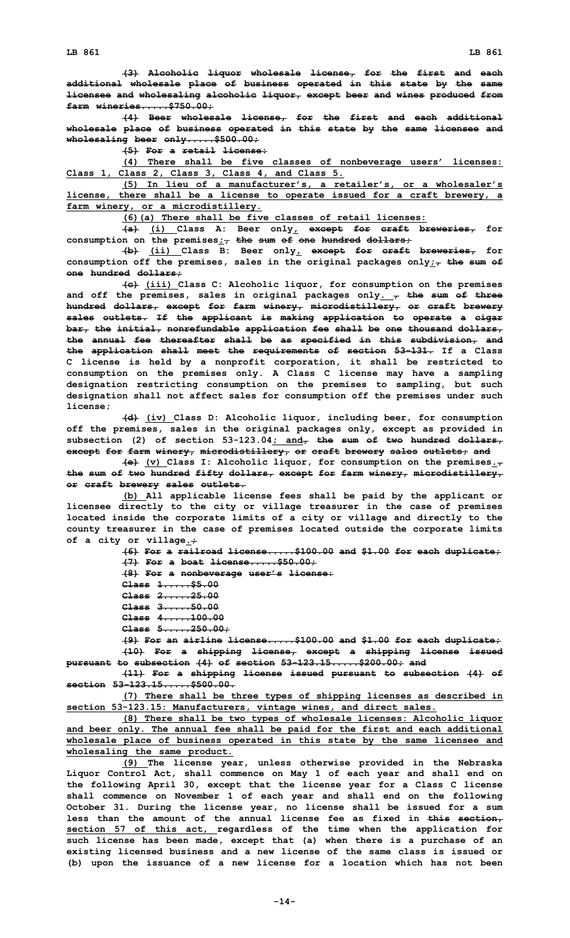**(3) Alcoholic liquor wholesale license, for the first and each additional wholesale place of business operated in this state by the same licensee and wholesaling alcoholic liquor, except beer and wines produced from farm wineries.....\$750.00;**

**(4) Beer wholesale license, for the first and each additional wholesale place of business operated in this state by the same licensee and wholesaling beer only.....\$500.00;**

**(5) For <sup>a</sup> retail license:**

**(4) There shall be five classes of nonbeverage users' licenses: Class 1, Class 2, Class 3, Class 4, and Class 5.**

**(5) In lieu of <sup>a</sup> manufacturer's, <sup>a</sup> retailer's, or <sup>a</sup> wholesaler's license, there shall be <sup>a</sup> license to operate issued for <sup>a</sup> craft brewery, <sup>a</sup> farm winery, or <sup>a</sup> microdistillery.**

**(6)(a) There shall be five classes of retail licenses:**

**(a) (i) Class A: Beer only, except for craft breweries, for consumption on the premises;, the sum of one hundred dollars;**

**(b) (ii) Class B: Beer only, except for craft breweries, for consumption off the premises, sales in the original packages only;, the sum of one hundred dollars;**

**(c) (iii) Class C: Alcoholic liquor, for consumption on the premises and off the premises, sales in original packages only. , the sum of three hundred dollars, except for farm winery, microdistillery, or craft brewery sales outlets. If the applicant is making application to operate <sup>a</sup> cigar bar, the initial, nonrefundable application fee shall be one thousand dollars, the annual fee thereafter shall be as specified in this subdivision, and the application shall meet the requirements of section 53-131. If <sup>a</sup> Class C license is held by <sup>a</sup> nonprofit corporation, it shall be restricted to consumption on the premises only. A Class C license may have <sup>a</sup> sampling designation restricting consumption on the premises to sampling, but such designation shall not affect sales for consumption off the premises under such license;**

**(d) (iv) Class D: Alcoholic liquor, including beer, for consumption off the premises, sales in the original packages only, except as provided in subsection (2) of section 53-123.04; and, the sum of two hundred dollars, except for farm winery, microdistillery, or craft brewery sales outlets; and**

**(e) (v) Class I: Alcoholic liquor, for consumption on the premises., the sum of two hundred fifty dollars, except for farm winery, microdistillery, or craft brewery sales outlets.**

**(b) All applicable license fees shall be paid by the applicant or licensee directly to the city or village treasurer in the case of premises located inside the corporate limits of <sup>a</sup> city or village and directly to the county treasurer in the case of premises located outside the corporate limits of <sup>a</sup> city or village.;**

> **(6) For <sup>a</sup> railroad license.....\$100.00 and \$1.00 for each duplicate; (7) For <sup>a</sup> boat license.....\$50.00;**

**(8) For <sup>a</sup> nonbeverage user's license:**

**Class 1.....\$5.00**

**Class 2.....25.00**

**Class 3.....50.00**

**Class 4.....100.00**

**Class 5.....250.00;**

**(9) For an airline license.....\$100.00 and \$1.00 for each duplicate; (10) For <sup>a</sup> shipping license, except <sup>a</sup> shipping license issued pursuant to subsection (4) of section 53-123.15.....\$200.00; and**

**(11) For <sup>a</sup> shipping license issued pursuant to subsection (4) of section 53-123.15.....\$500.00.**

**(7) There shall be three types of shipping licenses as described in section 53-123.15: Manufacturers, vintage wines, and direct sales.**

**(8) There shall be two types of wholesale licenses: Alcoholic liquor and beer only. The annual fee shall be paid for the first and each additional wholesale place of business operated in this state by the same licensee and wholesaling the same product.**

**(9) The license year, unless otherwise provided in the Nebraska Liquor Control Act, shall commence on May 1 of each year and shall end on the following April 30, except that the license year for <sup>a</sup> Class C license shall commence on November 1 of each year and shall end on the following October 31. During the license year, no license shall be issued for <sup>a</sup> sum less than the amount of the annual license fee as fixed in this section, section 57 of this act, regardless of the time when the application for such license has been made, except that (a) when there is <sup>a</sup> purchase of an existing licensed business and <sup>a</sup> new license of the same class is issued or (b) upon the issuance of <sup>a</sup> new license for <sup>a</sup> location which has not been**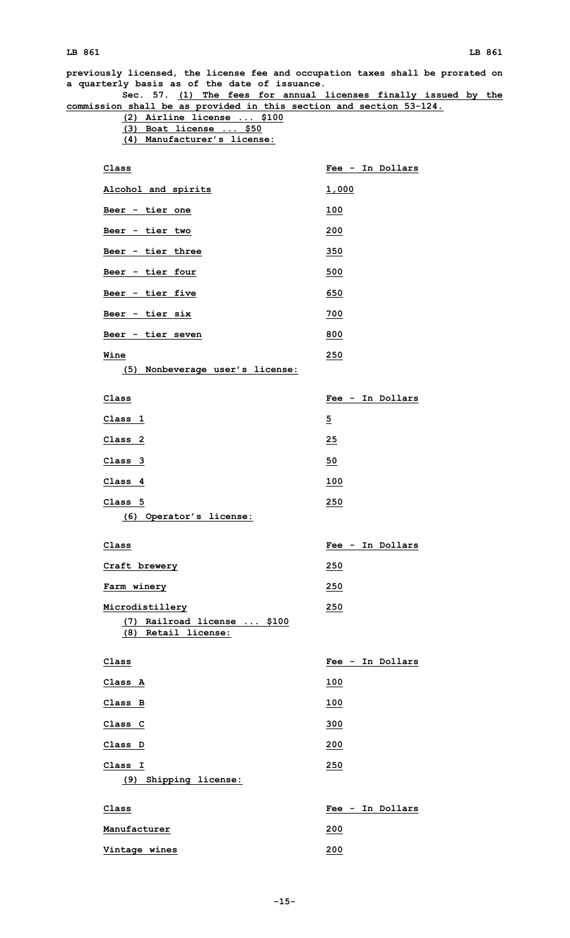## **LB 861 LB 861**

**previously licensed, the license fee and occupation taxes shall be prorated on <sup>a</sup> quarterly basis as of the date of issuance. Sec. 57. (1) The fees for annual licenses finally issued by the commission shall be as provided in this section and section 53-124. (2) Airline license ... \$100 (3) Boat license ... \$50 (4) Manufacturer's license: Class Fee - In Dollars Alcohol and spirits 1,000 Beer - tier one 100 Beer - tier two 200 Beer - tier three 350 Beer - tier four 500 Beer - tier five 650 Beer - tier six 700 Beer - tier seven 800 Wine 250 (5) Nonbeverage user's license: Class Fee - In Dollars Class 1 5 Class 2 25 Class 3 50 Class 4 100 Class 5 250 (6) Operator's license: Class Fee - In Dollars Craft brewery 250 Farm winery 250 Microdistillery 250 (7) Railroad license ... \$100 (8) Retail license: Class Fee - In Dollars Class A 100 Class B 100 Class C 300 Class D 200 Class I 250 (9) Shipping license: Class Fee - In Dollars Manufacturer 200 Vintage wines 200**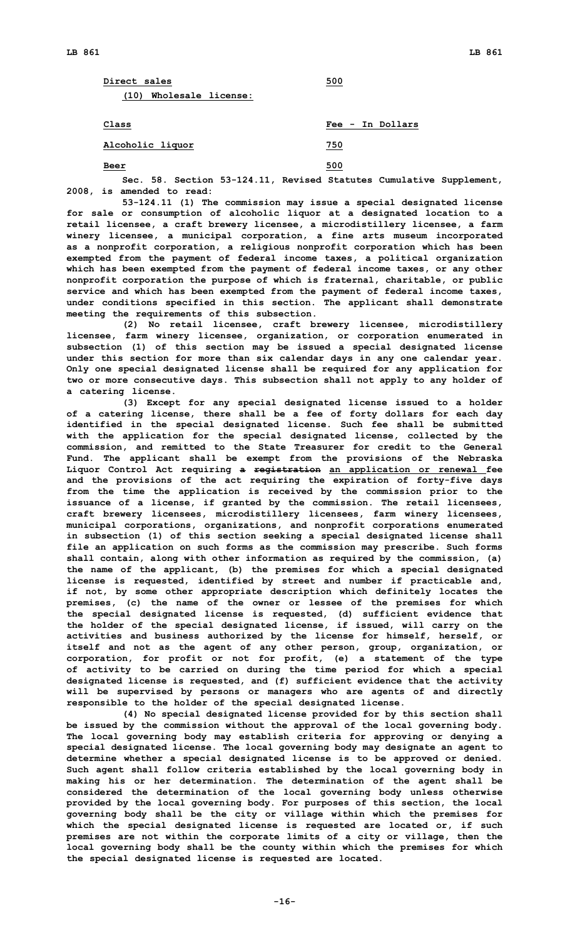| Direct sales            | 500 |
|-------------------------|-----|
| (10) Wholesale license: |     |

**Class Fee - In Dollars**

**Alcoholic liquor 750**

**Beer 500**

**Sec. 58. Section 53-124.11, Revised Statutes Cumulative Supplement, 2008, is amended to read:**

**53-124.11 (1) The commission may issue <sup>a</sup> special designated license for sale or consumption of alcoholic liquor at <sup>a</sup> designated location to <sup>a</sup> retail licensee, <sup>a</sup> craft brewery licensee, <sup>a</sup> microdistillery licensee, <sup>a</sup> farm winery licensee, <sup>a</sup> municipal corporation, <sup>a</sup> fine arts museum incorporated as <sup>a</sup> nonprofit corporation, <sup>a</sup> religious nonprofit corporation which has been exempted from the payment of federal income taxes, <sup>a</sup> political organization which has been exempted from the payment of federal income taxes, or any other nonprofit corporation the purpose of which is fraternal, charitable, or public service and which has been exempted from the payment of federal income taxes, under conditions specified in this section. The applicant shall demonstrate meeting the requirements of this subsection.**

**(2) No retail licensee, craft brewery licensee, microdistillery licensee, farm winery licensee, organization, or corporation enumerated in subsection (1) of this section may be issued <sup>a</sup> special designated license under this section for more than six calendar days in any one calendar year. Only one special designated license shall be required for any application for two or more consecutive days. This subsection shall not apply to any holder of <sup>a</sup> catering license.**

**(3) Except for any special designated license issued to <sup>a</sup> holder of <sup>a</sup> catering license, there shall be <sup>a</sup> fee of forty dollars for each day identified in the special designated license. Such fee shall be submitted with the application for the special designated license, collected by the commission, and remitted to the State Treasurer for credit to the General Fund. The applicant shall be exempt from the provisions of the Nebraska Liquor Control Act requiring <sup>a</sup> registration an application or renewal fee and the provisions of the act requiring the expiration of forty-five days from the time the application is received by the commission prior to the issuance of <sup>a</sup> license, if granted by the commission. The retail licensees, craft brewery licensees, microdistillery licensees, farm winery licensees, municipal corporations, organizations, and nonprofit corporations enumerated in subsection (1) of this section seeking <sup>a</sup> special designated license shall file an application on such forms as the commission may prescribe. Such forms shall contain, along with other information as required by the commission, (a) the name of the applicant, (b) the premises for which <sup>a</sup> special designated license is requested, identified by street and number if practicable and, if not, by some other appropriate description which definitely locates the premises, (c) the name of the owner or lessee of the premises for which the special designated license is requested, (d) sufficient evidence that the holder of the special designated license, if issued, will carry on the activities and business authorized by the license for himself, herself, or itself and not as the agent of any other person, group, organization, or corporation, for profit or not for profit, (e) <sup>a</sup> statement of the type of activity to be carried on during the time period for which <sup>a</sup> special designated license is requested, and (f) sufficient evidence that the activity will be supervised by persons or managers who are agents of and directly responsible to the holder of the special designated license.**

**(4) No special designated license provided for by this section shall be issued by the commission without the approval of the local governing body. The local governing body may establish criteria for approving or denying <sup>a</sup> special designated license. The local governing body may designate an agent to determine whether <sup>a</sup> special designated license is to be approved or denied. Such agent shall follow criteria established by the local governing body in making his or her determination. The determination of the agent shall be considered the determination of the local governing body unless otherwise provided by the local governing body. For purposes of this section, the local governing body shall be the city or village within which the premises for which the special designated license is requested are located or, if such premises are not within the corporate limits of <sup>a</sup> city or village, then the local governing body shall be the county within which the premises for which the special designated license is requested are located.**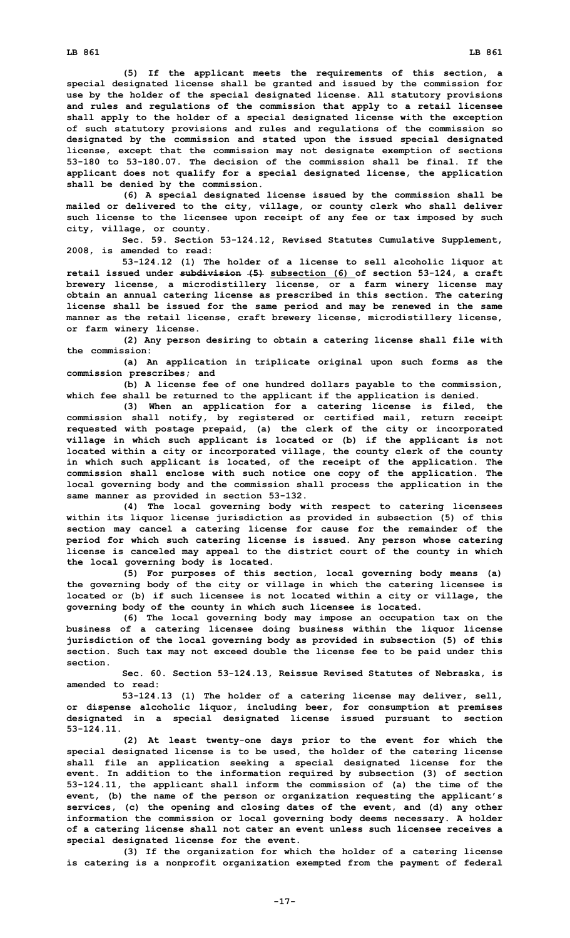**(5) If the applicant meets the requirements of this section, <sup>a</sup> special designated license shall be granted and issued by the commission for use by the holder of the special designated license. All statutory provisions and rules and regulations of the commission that apply to <sup>a</sup> retail licensee shall apply to the holder of <sup>a</sup> special designated license with the exception of such statutory provisions and rules and regulations of the commission so designated by the commission and stated upon the issued special designated license, except that the commission may not designate exemption of sections 53-180 to 53-180.07. The decision of the commission shall be final. If the applicant does not qualify for <sup>a</sup> special designated license, the application shall be denied by the commission.**

**(6) <sup>A</sup> special designated license issued by the commission shall be mailed or delivered to the city, village, or county clerk who shall deliver such license to the licensee upon receipt of any fee or tax imposed by such city, village, or county.**

**Sec. 59. Section 53-124.12, Revised Statutes Cumulative Supplement, 2008, is amended to read:**

**53-124.12 (1) The holder of <sup>a</sup> license to sell alcoholic liquor at retail issued under subdivision (5) subsection (6) of section 53-124, <sup>a</sup> craft brewery license, <sup>a</sup> microdistillery license, or <sup>a</sup> farm winery license may obtain an annual catering license as prescribed in this section. The catering license shall be issued for the same period and may be renewed in the same manner as the retail license, craft brewery license, microdistillery license, or farm winery license.**

**(2) Any person desiring to obtain <sup>a</sup> catering license shall file with the commission:**

**(a) An application in triplicate original upon such forms as the commission prescribes; and**

**(b) <sup>A</sup> license fee of one hundred dollars payable to the commission, which fee shall be returned to the applicant if the application is denied.**

**(3) When an application for <sup>a</sup> catering license is filed, the commission shall notify, by registered or certified mail, return receipt requested with postage prepaid, (a) the clerk of the city or incorporated village in which such applicant is located or (b) if the applicant is not located within <sup>a</sup> city or incorporated village, the county clerk of the county in which such applicant is located, of the receipt of the application. The commission shall enclose with such notice one copy of the application. The local governing body and the commission shall process the application in the same manner as provided in section 53-132.**

**(4) The local governing body with respect to catering licensees within its liquor license jurisdiction as provided in subsection (5) of this section may cancel <sup>a</sup> catering license for cause for the remainder of the period for which such catering license is issued. Any person whose catering license is canceled may appeal to the district court of the county in which the local governing body is located.**

**(5) For purposes of this section, local governing body means (a) the governing body of the city or village in which the catering licensee is located or (b) if such licensee is not located within <sup>a</sup> city or village, the governing body of the county in which such licensee is located.**

**(6) The local governing body may impose an occupation tax on the business of <sup>a</sup> catering licensee doing business within the liquor license jurisdiction of the local governing body as provided in subsection (5) of this section. Such tax may not exceed double the license fee to be paid under this section.**

**Sec. 60. Section 53-124.13, Reissue Revised Statutes of Nebraska, is amended to read:**

**53-124.13 (1) The holder of <sup>a</sup> catering license may deliver, sell, or dispense alcoholic liquor, including beer, for consumption at premises designated in <sup>a</sup> special designated license issued pursuant to section 53-124.11.**

**(2) At least twenty-one days prior to the event for which the special designated license is to be used, the holder of the catering license shall file an application seeking <sup>a</sup> special designated license for the event. In addition to the information required by subsection (3) of section 53-124.11, the applicant shall inform the commission of (a) the time of the event, (b) the name of the person or organization requesting the applicant's services, (c) the opening and closing dates of the event, and (d) any other information the commission or local governing body deems necessary. A holder of <sup>a</sup> catering license shall not cater an event unless such licensee receives <sup>a</sup> special designated license for the event.**

**(3) If the organization for which the holder of <sup>a</sup> catering license is catering is <sup>a</sup> nonprofit organization exempted from the payment of federal**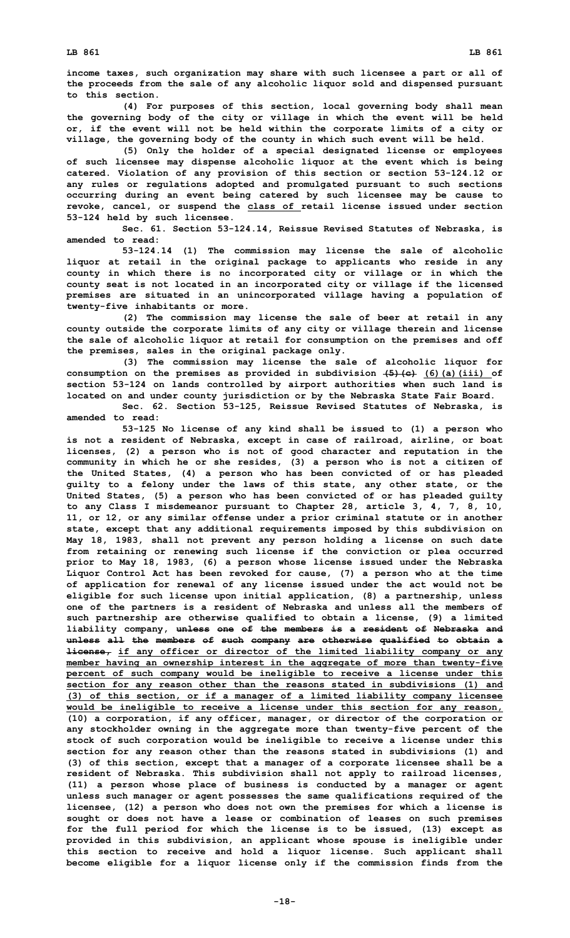**income taxes, such organization may share with such licensee <sup>a</sup> part or all of the proceeds from the sale of any alcoholic liquor sold and dispensed pursuant to this section.**

**(4) For purposes of this section, local governing body shall mean the governing body of the city or village in which the event will be held or, if the event will not be held within the corporate limits of <sup>a</sup> city or village, the governing body of the county in which such event will be held.**

**(5) Only the holder of <sup>a</sup> special designated license or employees of such licensee may dispense alcoholic liquor at the event which is being catered. Violation of any provision of this section or section 53-124.12 or any rules or regulations adopted and promulgated pursuant to such sections occurring during an event being catered by such licensee may be cause to revoke, cancel, or suspend the class of retail license issued under section 53-124 held by such licensee.**

**Sec. 61. Section 53-124.14, Reissue Revised Statutes of Nebraska, is amended to read:**

**53-124.14 (1) The commission may license the sale of alcoholic liquor at retail in the original package to applicants who reside in any county in which there is no incorporated city or village or in which the county seat is not located in an incorporated city or village if the licensed premises are situated in an unincorporated village having <sup>a</sup> population of twenty-five inhabitants or more.**

**(2) The commission may license the sale of beer at retail in any county outside the corporate limits of any city or village therein and license the sale of alcoholic liquor at retail for consumption on the premises and off the premises, sales in the original package only.**

**(3) The commission may license the sale of alcoholic liquor for consumption on the premises as provided in subdivision (5)(c) (6)(a)(iii) of section 53-124 on lands controlled by airport authorities when such land is located on and under county jurisdiction or by the Nebraska State Fair Board.**

**Sec. 62. Section 53-125, Reissue Revised Statutes of Nebraska, is amended to read:**

**53-125 No license of any kind shall be issued to (1) <sup>a</sup> person who is not <sup>a</sup> resident of Nebraska, except in case of railroad, airline, or boat licenses, (2) <sup>a</sup> person who is not of good character and reputation in the community in which he or she resides, (3) <sup>a</sup> person who is not <sup>a</sup> citizen of the United States, (4) <sup>a</sup> person who has been convicted of or has pleaded guilty to <sup>a</sup> felony under the laws of this state, any other state, or the United States, (5) <sup>a</sup> person who has been convicted of or has pleaded guilty to any Class <sup>I</sup> misdemeanor pursuant to Chapter 28, article 3, 4, 7, 8, 10, 11, or 12, or any similar offense under <sup>a</sup> prior criminal statute or in another state, except that any additional requirements imposed by this subdivision on May 18, 1983, shall not prevent any person holding <sup>a</sup> license on such date from retaining or renewing such license if the conviction or plea occurred prior to May 18, 1983, (6) <sup>a</sup> person whose license issued under the Nebraska Liquor Control Act has been revoked for cause, (7) <sup>a</sup> person who at the time of application for renewal of any license issued under the act would not be eligible for such license upon initial application, (8) <sup>a</sup> partnership, unless one of the partners is <sup>a</sup> resident of Nebraska and unless all the members of such partnership are otherwise qualified to obtain <sup>a</sup> license, (9) <sup>a</sup> limited liability company, unless one of the members is <sup>a</sup> resident of Nebraska and unless all the members of such company are otherwise qualified to obtain <sup>a</sup> license, if any officer or director of the limited liability company or any member having an ownership interest in the aggregate of more than twenty-five percent of such company would be ineligible to receive <sup>a</sup> license under this section for any reason other than the reasons stated in subdivisions (1) and (3) of this section, or if <sup>a</sup> manager of <sup>a</sup> limited liability company licensee would be ineligible to receive <sup>a</sup> license under this section for any reason, (10) <sup>a</sup> corporation, if any officer, manager, or director of the corporation or any stockholder owning in the aggregate more than twenty-five percent of the stock of such corporation would be ineligible to receive <sup>a</sup> license under this section for any reason other than the reasons stated in subdivisions (1) and (3) of this section, except that <sup>a</sup> manager of <sup>a</sup> corporate licensee shall be <sup>a</sup> resident of Nebraska. This subdivision shall not apply to railroad licenses, (11) <sup>a</sup> person whose place of business is conducted by <sup>a</sup> manager or agent unless such manager or agent possesses the same qualifications required of the licensee, (12) <sup>a</sup> person who does not own the premises for which <sup>a</sup> license is sought or does not have <sup>a</sup> lease or combination of leases on such premises for the full period for which the license is to be issued, (13) except as provided in this subdivision, an applicant whose spouse is ineligible under this section to receive and hold <sup>a</sup> liquor license. Such applicant shall become eligible for <sup>a</sup> liquor license only if the commission finds from the**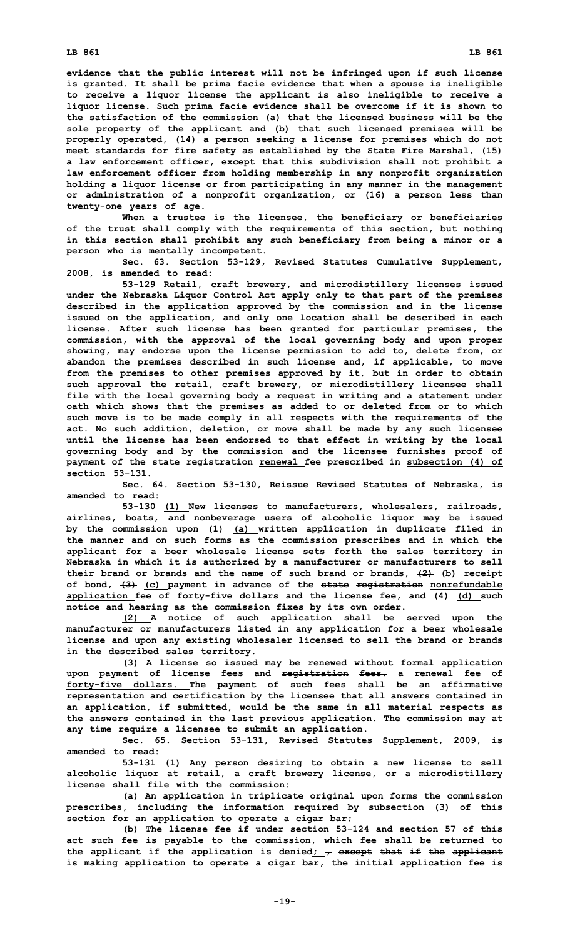**evidence that the public interest will not be infringed upon if such license is granted. It shall be prima facie evidence that when <sup>a</sup> spouse is ineligible to receive <sup>a</sup> liquor license the applicant is also ineligible to receive <sup>a</sup> liquor license. Such prima facie evidence shall be overcome if it is shown to the satisfaction of the commission (a) that the licensed business will be the sole property of the applicant and (b) that such licensed premises will be properly operated, (14) <sup>a</sup> person seeking <sup>a</sup> license for premises which do not meet standards for fire safety as established by the State Fire Marshal, (15) <sup>a</sup> law enforcement officer, except that this subdivision shall not prohibit <sup>a</sup> law enforcement officer from holding membership in any nonprofit organization holding <sup>a</sup> liquor license or from participating in any manner in the management or administration of <sup>a</sup> nonprofit organization, or (16) <sup>a</sup> person less than twenty-one years of age.**

**When <sup>a</sup> trustee is the licensee, the beneficiary or beneficiaries of the trust shall comply with the requirements of this section, but nothing in this section shall prohibit any such beneficiary from being <sup>a</sup> minor or <sup>a</sup> person who is mentally incompetent.**

**Sec. 63. Section 53-129, Revised Statutes Cumulative Supplement, 2008, is amended to read:**

**53-129 Retail, craft brewery, and microdistillery licenses issued under the Nebraska Liquor Control Act apply only to that part of the premises described in the application approved by the commission and in the license issued on the application, and only one location shall be described in each license. After such license has been granted for particular premises, the commission, with the approval of the local governing body and upon proper showing, may endorse upon the license permission to add to, delete from, or abandon the premises described in such license and, if applicable, to move from the premises to other premises approved by it, but in order to obtain such approval the retail, craft brewery, or microdistillery licensee shall file with the local governing body <sup>a</sup> request in writing and <sup>a</sup> statement under oath which shows that the premises as added to or deleted from or to which such move is to be made comply in all respects with the requirements of the act. No such addition, deletion, or move shall be made by any such licensee until the license has been endorsed to that effect in writing by the local governing body and by the commission and the licensee furnishes proof of payment of the state registration renewal fee prescribed in subsection (4) of section 53-131.**

**Sec. 64. Section 53-130, Reissue Revised Statutes of Nebraska, is amended to read:**

**53-130 (1) New licenses to manufacturers, wholesalers, railroads, airlines, boats, and nonbeverage users of alcoholic liquor may be issued by the commission upon (1) (a) written application in duplicate filed in the manner and on such forms as the commission prescribes and in which the applicant for <sup>a</sup> beer wholesale license sets forth the sales territory in Nebraska in which it is authorized by <sup>a</sup> manufacturer or manufacturers to sell their brand or brands and the name of such brand or brands, (2) (b) receipt of bond, (3) (c) payment in advance of the state registration nonrefundable application fee of forty-five dollars and the license fee, and (4) (d) such notice and hearing as the commission fixes by its own order.**

**(2) <sup>A</sup> notice of such application shall be served upon the manufacturer or manufacturers listed in any application for <sup>a</sup> beer wholesale license and upon any existing wholesaler licensed to sell the brand or brands in the described sales territory.**

**(3) <sup>A</sup> license so issued may be renewed without formal application upon payment of license fees and registration fees. <sup>a</sup> renewal fee of forty-five dollars. The payment of such fees shall be an affirmative representation and certification by the licensee that all answers contained in an application, if submitted, would be the same in all material respects as the answers contained in the last previous application. The commission may at any time require <sup>a</sup> licensee to submit an application.**

**Sec. 65. Section 53-131, Revised Statutes Supplement, 2009, is amended to read:**

**53-131 (1) Any person desiring to obtain <sup>a</sup> new license to sell alcoholic liquor at retail, <sup>a</sup> craft brewery license, or <sup>a</sup> microdistillery license shall file with the commission:**

**(a) An application in triplicate original upon forms the commission prescribes, including the information required by subsection (3) of this section for an application to operate <sup>a</sup> cigar bar;**

**(b) The license fee if under section 53-124 and section 57 of this act such fee is payable to the commission, which fee shall be returned to the applicant if the application is denied; , except that if the applicant is making application to operate <sup>a</sup> cigar bar, the initial application fee is**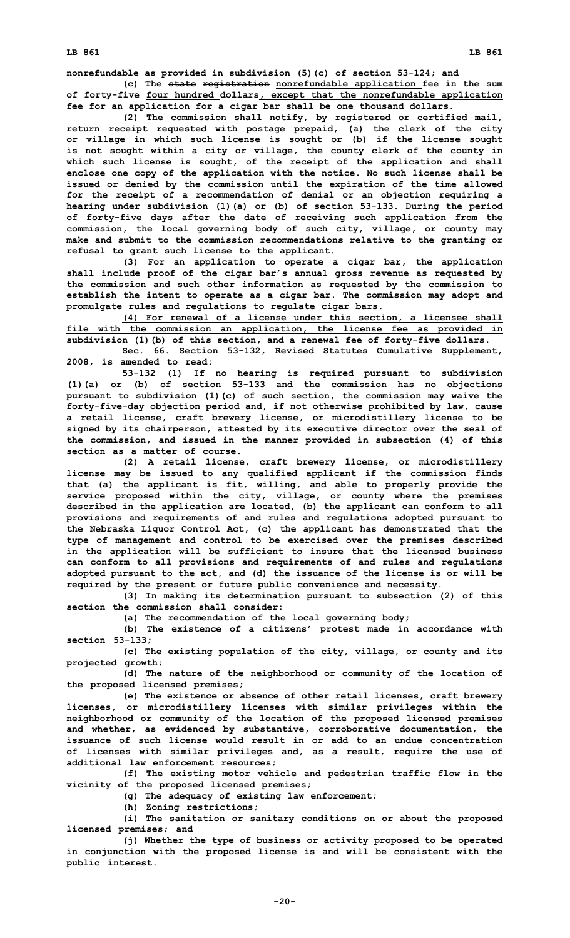**nonrefundable as provided in subdivision (5)(c) of section 53-124; and**

**(c) The state registration nonrefundable application fee in the sum of forty-five four hundred dollars, except that the nonrefundable application fee for an application for <sup>a</sup> cigar bar shall be one thousand dollars.**

**(2) The commission shall notify, by registered or certified mail, return receipt requested with postage prepaid, (a) the clerk of the city or village in which such license is sought or (b) if the license sought is not sought within <sup>a</sup> city or village, the county clerk of the county in which such license is sought, of the receipt of the application and shall enclose one copy of the application with the notice. No such license shall be issued or denied by the commission until the expiration of the time allowed for the receipt of <sup>a</sup> recommendation of denial or an objection requiring <sup>a</sup> hearing under subdivision (1)(a) or (b) of section 53-133. During the period of forty-five days after the date of receiving such application from the commission, the local governing body of such city, village, or county may make and submit to the commission recommendations relative to the granting or refusal to grant such license to the applicant.**

**(3) For an application to operate <sup>a</sup> cigar bar, the application shall include proof of the cigar bar's annual gross revenue as requested by the commission and such other information as requested by the commission to establish the intent to operate as <sup>a</sup> cigar bar. The commission may adopt and promulgate rules and regulations to regulate cigar bars.**

**(4) For renewal of <sup>a</sup> license under this section, <sup>a</sup> licensee shall file with the commission an application, the license fee as provided in subdivision (1)(b) of this section, and <sup>a</sup> renewal fee of forty-five dollars.**

**Sec. 66. Section 53-132, Revised Statutes Cumulative Supplement, 2008, is amended to read:**

**53-132 (1) If no hearing is required pursuant to subdivision (1)(a) or (b) of section 53-133 and the commission has no objections pursuant to subdivision (1)(c) of such section, the commission may waive the forty-five-day objection period and, if not otherwise prohibited by law, cause <sup>a</sup> retail license, craft brewery license, or microdistillery license to be signed by its chairperson, attested by its executive director over the seal of the commission, and issued in the manner provided in subsection (4) of this section as a matter of course.**

**(2) <sup>A</sup> retail license, craft brewery license, or microdistillery license may be issued to any qualified applicant if the commission finds that (a) the applicant is fit, willing, and able to properly provide the service proposed within the city, village, or county where the premises described in the application are located, (b) the applicant can conform to all provisions and requirements of and rules and regulations adopted pursuant to the Nebraska Liquor Control Act, (c) the applicant has demonstrated that the type of management and control to be exercised over the premises described in the application will be sufficient to insure that the licensed business can conform to all provisions and requirements of and rules and regulations adopted pursuant to the act, and (d) the issuance of the license is or will be required by the present or future public convenience and necessity.**

**(3) In making its determination pursuant to subsection (2) of this section the commission shall consider:**

**(a) The recommendation of the local governing body;**

**(b) The existence of <sup>a</sup> citizens' protest made in accordance with section 53-133;**

**(c) The existing population of the city, village, or county and its projected growth;**

**(d) The nature of the neighborhood or community of the location of the proposed licensed premises;**

**(e) The existence or absence of other retail licenses, craft brewery licenses, or microdistillery licenses with similar privileges within the neighborhood or community of the location of the proposed licensed premises and whether, as evidenced by substantive, corroborative documentation, the issuance of such license would result in or add to an undue concentration of licenses with similar privileges and, as <sup>a</sup> result, require the use of additional law enforcement resources;**

**(f) The existing motor vehicle and pedestrian traffic flow in the vicinity of the proposed licensed premises;**

**(g) The adequacy of existing law enforcement;**

**(h) Zoning restrictions;**

**(i) The sanitation or sanitary conditions on or about the proposed licensed premises; and**

**(j) Whether the type of business or activity proposed to be operated in conjunction with the proposed license is and will be consistent with the public interest.**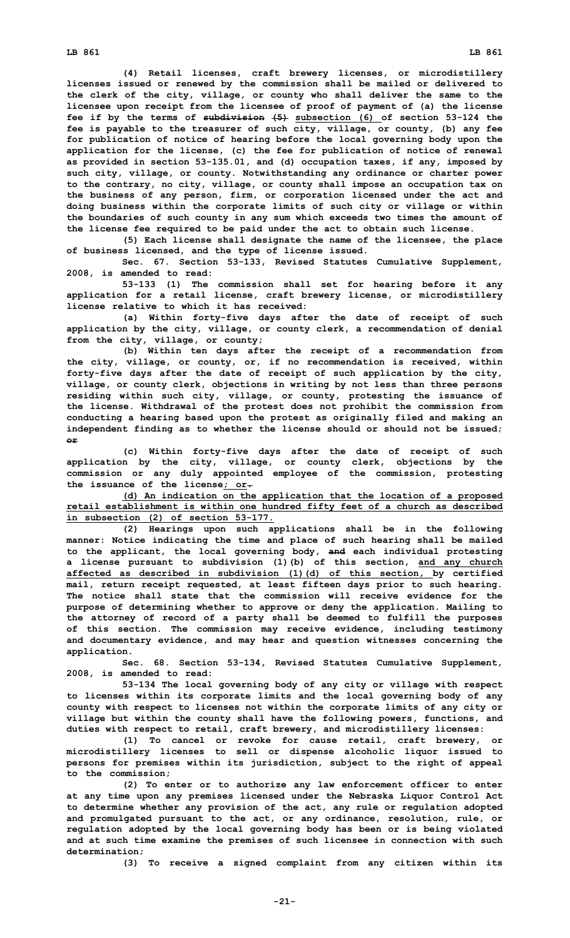**(4) Retail licenses, craft brewery licenses, or microdistillery licenses issued or renewed by the commission shall be mailed or delivered to the clerk of the city, village, or county who shall deliver the same to the licensee upon receipt from the licensee of proof of payment of (a) the license fee if by the terms of subdivision (5) subsection (6) of section 53-124 the fee is payable to the treasurer of such city, village, or county, (b) any fee for publication of notice of hearing before the local governing body upon the application for the license, (c) the fee for publication of notice of renewal as provided in section 53-135.01, and (d) occupation taxes, if any, imposed by such city, village, or county. Notwithstanding any ordinance or charter power to the contrary, no city, village, or county shall impose an occupation tax on the business of any person, firm, or corporation licensed under the act and doing business within the corporate limits of such city or village or within the boundaries of such county in any sum which exceeds two times the amount of the license fee required to be paid under the act to obtain such license.**

**(5) Each license shall designate the name of the licensee, the place of business licensed, and the type of license issued.**

**Sec. 67. Section 53-133, Revised Statutes Cumulative Supplement, 2008, is amended to read:**

**53-133 (1) The commission shall set for hearing before it any application for <sup>a</sup> retail license, craft brewery license, or microdistillery license relative to which it has received:**

**(a) Within forty-five days after the date of receipt of such application by the city, village, or county clerk, <sup>a</sup> recommendation of denial from the city, village, or county;**

**(b) Within ten days after the receipt of <sup>a</sup> recommendation from the city, village, or county, or, if no recommendation is received, within forty-five days after the date of receipt of such application by the city, village, or county clerk, objections in writing by not less than three persons residing within such city, village, or county, protesting the issuance of the license. Withdrawal of the protest does not prohibit the commission from conducting <sup>a</sup> hearing based upon the protest as originally filed and making an independent finding as to whether the license should or should not be issued; or**

**(c) Within forty-five days after the date of receipt of such application by the city, village, or county clerk, objections by the commission or any duly appointed employee of the commission, protesting the issuance of the license; or.**

**(d) An indication on the application that the location of <sup>a</sup> proposed retail establishment is within one hundred fifty feet of <sup>a</sup> church as described in subsection (2) of section 53-177.**

**(2) Hearings upon such applications shall be in the following manner: Notice indicating the time and place of such hearing shall be mailed to the applicant, the local governing body, and each individual protesting <sup>a</sup> license pursuant to subdivision (1)(b) of this section, and any church affected as described in subdivision (1)(d) of this section, by certified mail, return receipt requested, at least fifteen days prior to such hearing. The notice shall state that the commission will receive evidence for the purpose of determining whether to approve or deny the application. Mailing to the attorney of record of <sup>a</sup> party shall be deemed to fulfill the purposes of this section. The commission may receive evidence, including testimony and documentary evidence, and may hear and question witnesses concerning the application.**

**Sec. 68. Section 53-134, Revised Statutes Cumulative Supplement, 2008, is amended to read:**

**53-134 The local governing body of any city or village with respect to licenses within its corporate limits and the local governing body of any county with respect to licenses not within the corporate limits of any city or village but within the county shall have the following powers, functions, and duties with respect to retail, craft brewery, and microdistillery licenses:**

**(1) To cancel or revoke for cause retail, craft brewery, or microdistillery licenses to sell or dispense alcoholic liquor issued to persons for premises within its jurisdiction, subject to the right of appeal to the commission;**

**(2) To enter or to authorize any law enforcement officer to enter at any time upon any premises licensed under the Nebraska Liquor Control Act to determine whether any provision of the act, any rule or regulation adopted and promulgated pursuant to the act, or any ordinance, resolution, rule, or regulation adopted by the local governing body has been or is being violated and at such time examine the premises of such licensee in connection with such determination;**

**(3) To receive <sup>a</sup> signed complaint from any citizen within its**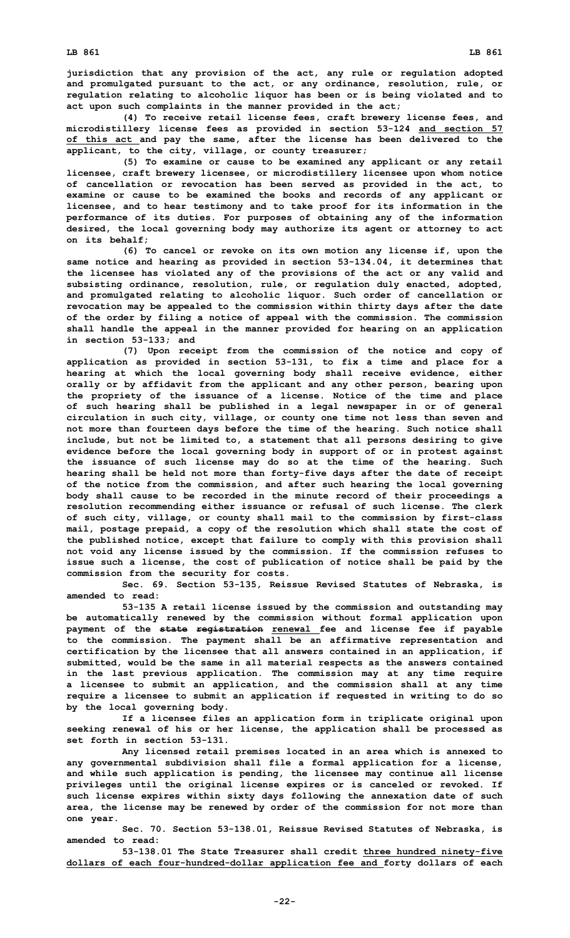**jurisdiction that any provision of the act, any rule or regulation adopted and promulgated pursuant to the act, or any ordinance, resolution, rule, or regulation relating to alcoholic liquor has been or is being violated and to act upon such complaints in the manner provided in the act;**

**(4) To receive retail license fees, craft brewery license fees, and microdistillery license fees as provided in section 53-124 and section 57 of this act and pay the same, after the license has been delivered to the applicant, to the city, village, or county treasurer;**

**(5) To examine or cause to be examined any applicant or any retail licensee, craft brewery licensee, or microdistillery licensee upon whom notice of cancellation or revocation has been served as provided in the act, to examine or cause to be examined the books and records of any applicant or licensee, and to hear testimony and to take proof for its information in the performance of its duties. For purposes of obtaining any of the information desired, the local governing body may authorize its agent or attorney to act on its behalf;**

**(6) To cancel or revoke on its own motion any license if, upon the same notice and hearing as provided in section 53-134.04, it determines that the licensee has violated any of the provisions of the act or any valid and subsisting ordinance, resolution, rule, or regulation duly enacted, adopted, and promulgated relating to alcoholic liquor. Such order of cancellation or revocation may be appealed to the commission within thirty days after the date of the order by filing <sup>a</sup> notice of appeal with the commission. The commission shall handle the appeal in the manner provided for hearing on an application in section 53-133; and**

**(7) Upon receipt from the commission of the notice and copy of application as provided in section 53-131, to fix <sup>a</sup> time and place for <sup>a</sup> hearing at which the local governing body shall receive evidence, either orally or by affidavit from the applicant and any other person, bearing upon the propriety of the issuance of <sup>a</sup> license. Notice of the time and place of such hearing shall be published in <sup>a</sup> legal newspaper in or of general circulation in such city, village, or county one time not less than seven and not more than fourteen days before the time of the hearing. Such notice shall include, but not be limited to, <sup>a</sup> statement that all persons desiring to give evidence before the local governing body in support of or in protest against the issuance of such license may do so at the time of the hearing. Such hearing shall be held not more than forty-five days after the date of receipt of the notice from the commission, and after such hearing the local governing body shall cause to be recorded in the minute record of their proceedings <sup>a</sup> resolution recommending either issuance or refusal of such license. The clerk of such city, village, or county shall mail to the commission by first-class mail, postage prepaid, <sup>a</sup> copy of the resolution which shall state the cost of the published notice, except that failure to comply with this provision shall not void any license issued by the commission. If the commission refuses to issue such <sup>a</sup> license, the cost of publication of notice shall be paid by the commission from the security for costs.**

**Sec. 69. Section 53-135, Reissue Revised Statutes of Nebraska, is amended to read:**

**53-135 <sup>A</sup> retail license issued by the commission and outstanding may be automatically renewed by the commission without formal application upon payment of the state registration renewal fee and license fee if payable to the commission. The payment shall be an affirmative representation and certification by the licensee that all answers contained in an application, if submitted, would be the same in all material respects as the answers contained in the last previous application. The commission may at any time require <sup>a</sup> licensee to submit an application, and the commission shall at any time require <sup>a</sup> licensee to submit an application if requested in writing to do so by the local governing body.**

**If <sup>a</sup> licensee files an application form in triplicate original upon seeking renewal of his or her license, the application shall be processed as set forth in section 53-131.**

**Any licensed retail premises located in an area which is annexed to any governmental subdivision shall file <sup>a</sup> formal application for <sup>a</sup> license, and while such application is pending, the licensee may continue all license privileges until the original license expires or is canceled or revoked. If such license expires within sixty days following the annexation date of such area, the license may be renewed by order of the commission for not more than one year.**

**Sec. 70. Section 53-138.01, Reissue Revised Statutes of Nebraska, is amended to read:**

**53-138.01 The State Treasurer shall credit three hundred ninety-five dollars of each four-hundred-dollar application fee and forty dollars of each**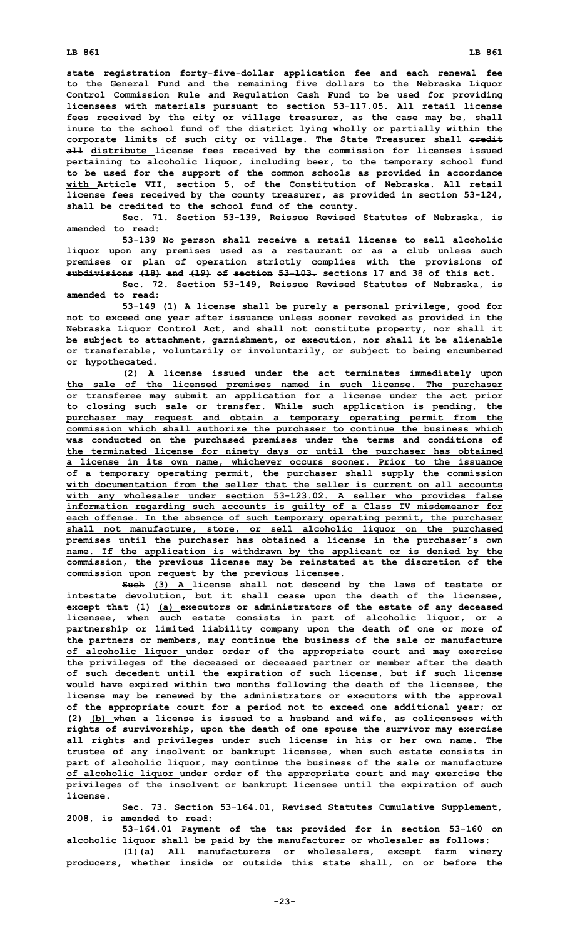**state registration forty-five-dollar application fee and each renewal fee to the General Fund and the remaining five dollars to the Nebraska Liquor Control Commission Rule and Regulation Cash Fund to be used for providing licensees with materials pursuant to section 53-117.05. All retail license fees received by the city or village treasurer, as the case may be, shall inure to the school fund of the district lying wholly or partially within the corporate limits of such city or village. The State Treasurer shall credit all distribute license fees received by the commission for licenses issued pertaining to alcoholic liquor, including beer, to the temporary school fund to be used for the support of the common schools as provided in accordance with Article VII, section 5, of the Constitution of Nebraska. All retail license fees received by the county treasurer, as provided in section 53-124, shall be credited to the school fund of the county.**

**Sec. 71. Section 53-139, Reissue Revised Statutes of Nebraska, is amended to read:**

**53-139 No person shall receive <sup>a</sup> retail license to sell alcoholic liquor upon any premises used as <sup>a</sup> restaurant or as <sup>a</sup> club unless such premises or plan of operation strictly complies with the provisions of subdivisions (18) and (19) of section 53-103. sections 17 and 38 of this act.**

**Sec. 72. Section 53-149, Reissue Revised Statutes of Nebraska, is amended to read:**

**53-149 (1) <sup>A</sup> license shall be purely <sup>a</sup> personal privilege, good for not to exceed one year after issuance unless sooner revoked as provided in the Nebraska Liquor Control Act, and shall not constitute property, nor shall it be subject to attachment, garnishment, or execution, nor shall it be alienable or transferable, voluntarily or involuntarily, or subject to being encumbered or hypothecated.**

**(2) <sup>A</sup> license issued under the act terminates immediately upon the sale of the licensed premises named in such license. The purchaser or transferee may submit an application for <sup>a</sup> license under the act prior to closing such sale or transfer. While such application is pending, the purchaser may request and obtain <sup>a</sup> temporary operating permit from the commission which shall authorize the purchaser to continue the business which was conducted on the purchased premises under the terms and conditions of the terminated license for ninety days or until the purchaser has obtained <sup>a</sup> license in its own name, whichever occurs sooner. Prior to the issuance of <sup>a</sup> temporary operating permit, the purchaser shall supply the commission with documentation from the seller that the seller is current on all accounts with any wholesaler under section 53-123.02. <sup>A</sup> seller who provides false information regarding such accounts is guilty of <sup>a</sup> Class IV misdemeanor for each offense. In the absence of such temporary operating permit, the purchaser shall not manufacture, store, or sell alcoholic liquor on the purchased premises until the purchaser has obtained <sup>a</sup> license in the purchaser's own name. If the application is withdrawn by the applicant or is denied by the commission, the previous license may be reinstated at the discretion of the commission upon request by the previous licensee.**

**Such (3) <sup>A</sup> license shall not descend by the laws of testate or intestate devolution, but it shall cease upon the death of the licensee, except that (1) (a) executors or administrators of the estate of any deceased licensee, when such estate consists in part of alcoholic liquor, or <sup>a</sup> partnership or limited liability company upon the death of one or more of the partners or members, may continue the business of the sale or manufacture of alcoholic liquor under order of the appropriate court and may exercise the privileges of the deceased or deceased partner or member after the death of such decedent until the expiration of such license, but if such license would have expired within two months following the death of the licensee, the license may be renewed by the administrators or executors with the approval of the appropriate court for <sup>a</sup> period not to exceed one additional year; or (2) (b) when <sup>a</sup> license is issued to <sup>a</sup> husband and wife, as colicensees with rights of survivorship, upon the death of one spouse the survivor may exercise all rights and privileges under such license in his or her own name. The trustee of any insolvent or bankrupt licensee, when such estate consists in part of alcoholic liquor, may continue the business of the sale or manufacture of alcoholic liquor under order of the appropriate court and may exercise the privileges of the insolvent or bankrupt licensee until the expiration of such license.**

**Sec. 73. Section 53-164.01, Revised Statutes Cumulative Supplement, 2008, is amended to read:**

**53-164.01 Payment of the tax provided for in section 53-160 on alcoholic liquor shall be paid by the manufacturer or wholesaler as follows:**

**(1)(a) All manufacturers or wholesalers, except farm winery producers, whether inside or outside this state shall, on or before the**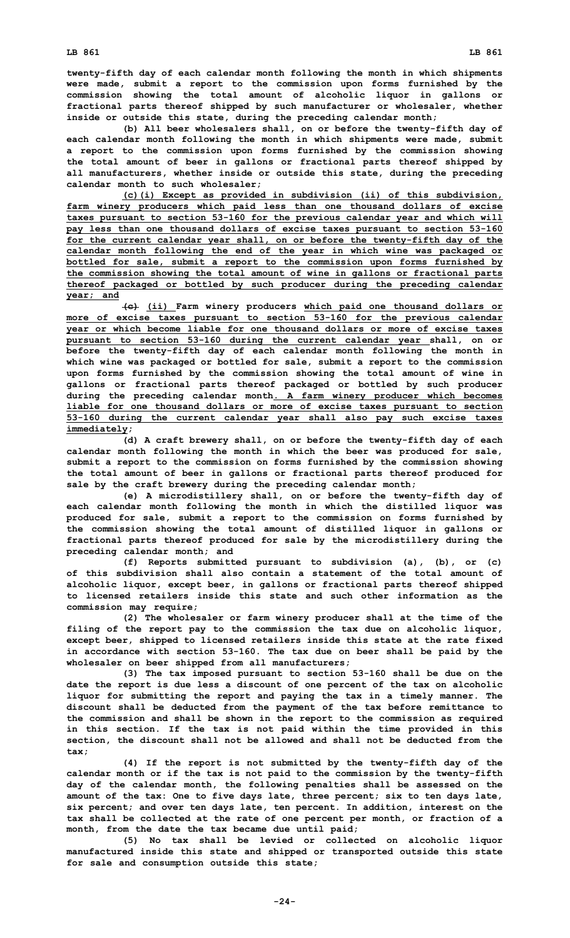**twenty-fifth day of each calendar month following the month in which shipments were made, submit <sup>a</sup> report to the commission upon forms furnished by the commission showing the total amount of alcoholic liquor in gallons or fractional parts thereof shipped by such manufacturer or wholesaler, whether inside or outside this state, during the preceding calendar month;**

**(b) All beer wholesalers shall, on or before the twenty-fifth day of each calendar month following the month in which shipments were made, submit <sup>a</sup> report to the commission upon forms furnished by the commission showing the total amount of beer in gallons or fractional parts thereof shipped by all manufacturers, whether inside or outside this state, during the preceding calendar month to such wholesaler;**

**(c)(i) Except as provided in subdivision (ii) of this subdivision, farm winery producers which paid less than one thousand dollars of excise taxes pursuant to section 53-160 for the previous calendar year and which will pay less than one thousand dollars of excise taxes pursuant to section 53-160 for the current calendar year shall, on or before the twenty-fifth day of the calendar month following the end of the year in which wine was packaged or bottled for sale, submit <sup>a</sup> report to the commission upon forms furnished by the commission showing the total amount of wine in gallons or fractional parts thereof packaged or bottled by such producer during the preceding calendar year; and**

**(c) (ii) Farm winery producers which paid one thousand dollars or more of excise taxes pursuant to section 53-160 for the previous calendar year or which become liable for one thousand dollars or more of excise taxes pursuant to section 53-160 during the current calendar year shall, on or before the twenty-fifth day of each calendar month following the month in which wine was packaged or bottled for sale, submit <sup>a</sup> report to the commission upon forms furnished by the commission showing the total amount of wine in gallons or fractional parts thereof packaged or bottled by such producer during the preceding calendar month. A farm winery producer which becomes liable for one thousand dollars or more of excise taxes pursuant to section 53-160 during the current calendar year shall also pay such excise taxes immediately;**

**(d) <sup>A</sup> craft brewery shall, on or before the twenty-fifth day of each calendar month following the month in which the beer was produced for sale, submit <sup>a</sup> report to the commission on forms furnished by the commission showing the total amount of beer in gallons or fractional parts thereof produced for sale by the craft brewery during the preceding calendar month;**

**(e) <sup>A</sup> microdistillery shall, on or before the twenty-fifth day of each calendar month following the month in which the distilled liquor was produced for sale, submit <sup>a</sup> report to the commission on forms furnished by the commission showing the total amount of distilled liquor in gallons or fractional parts thereof produced for sale by the microdistillery during the preceding calendar month; and**

**(f) Reports submitted pursuant to subdivision (a), (b), or (c) of this subdivision shall also contain a statement of the total amount of alcoholic liquor, except beer, in gallons or fractional parts thereof shipped to licensed retailers inside this state and such other information as the commission may require;**

**(2) The wholesaler or farm winery producer shall at the time of the filing of the report pay to the commission the tax due on alcoholic liquor, except beer, shipped to licensed retailers inside this state at the rate fixed in accordance with section 53-160. The tax due on beer shall be paid by the wholesaler on beer shipped from all manufacturers;**

**(3) The tax imposed pursuant to section 53-160 shall be due on the date the report is due less <sup>a</sup> discount of one percent of the tax on alcoholic liquor for submitting the report and paying the tax in <sup>a</sup> timely manner. The discount shall be deducted from the payment of the tax before remittance to the commission and shall be shown in the report to the commission as required in this section. If the tax is not paid within the time provided in this section, the discount shall not be allowed and shall not be deducted from the tax;**

**(4) If the report is not submitted by the twenty-fifth day of the calendar month or if the tax is not paid to the commission by the twenty-fifth day of the calendar month, the following penalties shall be assessed on the amount of the tax: One to five days late, three percent; six to ten days late, six percent; and over ten days late, ten percent. In addition, interest on the tax shall be collected at the rate of one percent per month, or fraction of <sup>a</sup> month, from the date the tax became due until paid;**

**(5) No tax shall be levied or collected on alcoholic liquor manufactured inside this state and shipped or transported outside this state for sale and consumption outside this state;**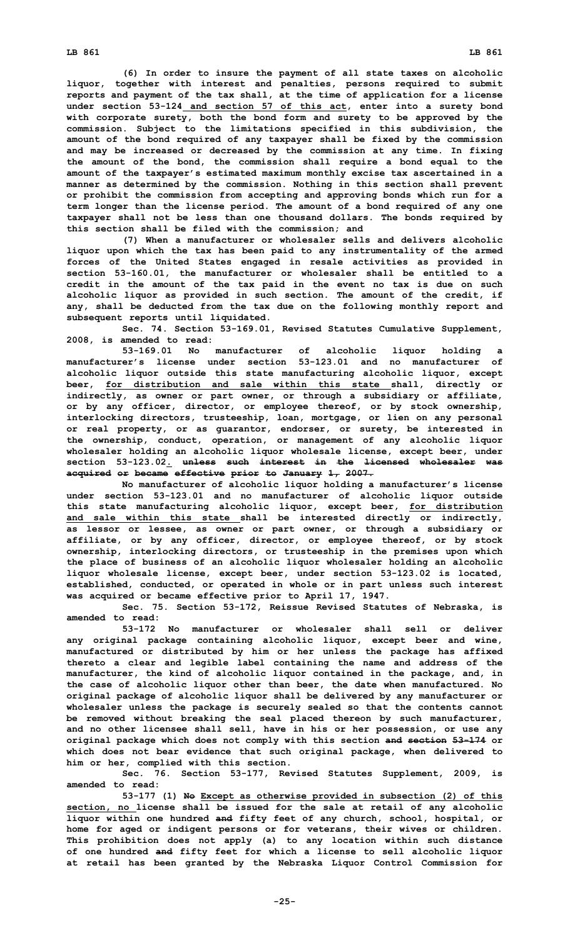**(6) In order to insure the payment of all state taxes on alcoholic liquor, together with interest and penalties, persons required to submit reports and payment of the tax shall, at the time of application for <sup>a</sup> license under section 53-124 and section 57 of this act, enter into <sup>a</sup> surety bond with corporate surety, both the bond form and surety to be approved by the commission. Subject to the limitations specified in this subdivision, the amount of the bond required of any taxpayer shall be fixed by the commission and may be increased or decreased by the commission at any time. In fixing the amount of the bond, the commission shall require <sup>a</sup> bond equal to the amount of the taxpayer's estimated maximum monthly excise tax ascertained in <sup>a</sup> manner as determined by the commission. Nothing in this section shall prevent or prohibit the commission from accepting and approving bonds which run for <sup>a</sup> term longer than the license period. The amount of <sup>a</sup> bond required of any one taxpayer shall not be less than one thousand dollars. The bonds required by this section shall be filed with the commission; and**

**(7) When <sup>a</sup> manufacturer or wholesaler sells and delivers alcoholic liquor upon which the tax has been paid to any instrumentality of the armed forces of the United States engaged in resale activities as provided in section 53-160.01, the manufacturer or wholesaler shall be entitled to <sup>a</sup> credit in the amount of the tax paid in the event no tax is due on such alcoholic liquor as provided in such section. The amount of the credit, if any, shall be deducted from the tax due on the following monthly report and subsequent reports until liquidated.**

**Sec. 74. Section 53-169.01, Revised Statutes Cumulative Supplement, 2008, is amended to read:**

**53-169.01 No manufacturer of alcoholic liquor holding <sup>a</sup> manufacturer's license under section 53-123.01 and no manufacturer of alcoholic liquor outside this state manufacturing alcoholic liquor, except beer, for distribution and sale within this state shall, directly or indirectly, as owner or part owner, or through <sup>a</sup> subsidiary or affiliate, or by any officer, director, or employee thereof, or by stock ownership, interlocking directors, trusteeship, loan, mortgage, or lien on any personal or real property, or as guarantor, endorser, or surety, be interested in the ownership, conduct, operation, or management of any alcoholic liquor wholesaler holding an alcoholic liquor wholesale license, except beer, under section 53-123.02. unless such interest in the licensed wholesaler was acquired or became effective prior to January 1, 2007.**

**No manufacturer of alcoholic liquor holding <sup>a</sup> manufacturer's license under section 53-123.01 and no manufacturer of alcoholic liquor outside this state manufacturing alcoholic liquor, except beer, for distribution and sale within this state shall be interested directly or indirectly, as lessor or lessee, as owner or part owner, or through <sup>a</sup> subsidiary or affiliate, or by any officer, director, or employee thereof, or by stock ownership, interlocking directors, or trusteeship in the premises upon which the place of business of an alcoholic liquor wholesaler holding an alcoholic liquor wholesale license, except beer, under section 53-123.02 is located, established, conducted, or operated in whole or in part unless such interest was acquired or became effective prior to April 17, 1947.**

**Sec. 75. Section 53-172, Reissue Revised Statutes of Nebraska, is amended to read:**

**53-172 No manufacturer or wholesaler shall sell or deliver any original package containing alcoholic liquor, except beer and wine, manufactured or distributed by him or her unless the package has affixed thereto <sup>a</sup> clear and legible label containing the name and address of the manufacturer, the kind of alcoholic liquor contained in the package, and, in the case of alcoholic liquor other than beer, the date when manufactured. No original package of alcoholic liquor shall be delivered by any manufacturer or wholesaler unless the package is securely sealed so that the contents cannot be removed without breaking the seal placed thereon by such manufacturer, and no other licensee shall sell, have in his or her possession, or use any original package which does not comply with this section and section 53-174 or which does not bear evidence that such original package, when delivered to him or her, complied with this section.**

**Sec. 76. Section 53-177, Revised Statutes Supplement, 2009, is amended to read:**

**53-177 (1) No Except as otherwise provided in subsection (2) of this section, no license shall be issued for the sale at retail of any alcoholic liquor within one hundred and fifty feet of any church, school, hospital, or home for aged or indigent persons or for veterans, their wives or children. This prohibition does not apply (a) to any location within such distance of one hundred and fifty feet for which <sup>a</sup> license to sell alcoholic liquor at retail has been granted by the Nebraska Liquor Control Commission for**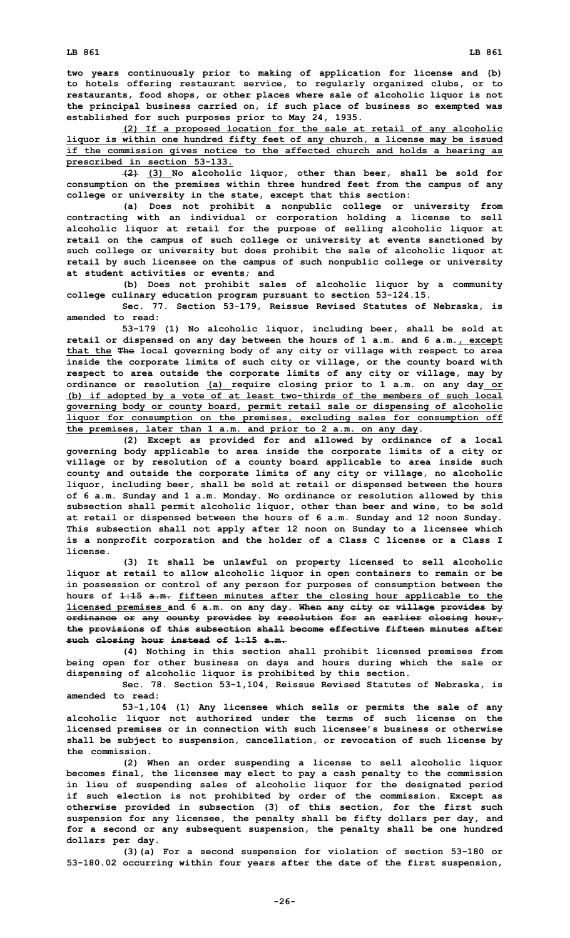**two years continuously prior to making of application for license and (b) to hotels offering restaurant service, to regularly organized clubs, or to restaurants, food shops, or other places where sale of alcoholic liquor is not the principal business carried on, if such place of business so exempted was established for such purposes prior to May 24, 1935.**

**(2) If <sup>a</sup> proposed location for the sale at retail of any alcoholic liquor is within one hundred fifty feet of any church, <sup>a</sup> license may be issued if the commission gives notice to the affected church and holds <sup>a</sup> hearing as prescribed in section 53-133.**

**(2) (3) No alcoholic liquor, other than beer, shall be sold for consumption on the premises within three hundred feet from the campus of any college or university in the state, except that this section:**

**(a) Does not prohibit <sup>a</sup> nonpublic college or university from contracting with an individual or corporation holding <sup>a</sup> license to sell alcoholic liquor at retail for the purpose of selling alcoholic liquor at retail on the campus of such college or university at events sanctioned by such college or university but does prohibit the sale of alcoholic liquor at retail by such licensee on the campus of such nonpublic college or university at student activities or events; and**

**(b) Does not prohibit sales of alcoholic liquor by <sup>a</sup> community college culinary education program pursuant to section 53-124.15.**

**Sec. 77. Section 53-179, Reissue Revised Statutes of Nebraska, is amended to read:**

**53-179 (1) No alcoholic liquor, including beer, shall be sold at retail or dispensed on any day between the hours of 1 a.m. and 6 a.m., except that the The local governing body of any city or village with respect to area inside the corporate limits of such city or village, or the county board with respect to area outside the corporate limits of any city or village, may by ordinance or resolution (a) require closing prior to 1 a.m. on any day or (b) if adopted by <sup>a</sup> vote of at least two-thirds of the members of such local governing body or county board, permit retail sale or dispensing of alcoholic liquor for consumption on the premises, excluding sales for consumption off the premises, later than 1 a.m. and prior to 2 a.m. on any day.**

**(2) Except as provided for and allowed by ordinance of <sup>a</sup> local governing body applicable to area inside the corporate limits of <sup>a</sup> city or village or by resolution of <sup>a</sup> county board applicable to area inside such county and outside the corporate limits of any city or village, no alcoholic liquor, including beer, shall be sold at retail or dispensed between the hours of 6 a.m. Sunday and 1 a.m. Monday. No ordinance or resolution allowed by this subsection shall permit alcoholic liquor, other than beer and wine, to be sold at retail or dispensed between the hours of 6 a.m. Sunday and 12 noon Sunday. This subsection shall not apply after 12 noon on Sunday to <sup>a</sup> licensee which is <sup>a</sup> nonprofit corporation and the holder of <sup>a</sup> Class C license or <sup>a</sup> Class I license.**

**(3) It shall be unlawful on property licensed to sell alcoholic liquor at retail to allow alcoholic liquor in open containers to remain or be in possession or control of any person for purposes of consumption between the hours of 1:15 a.m. fifteen minutes after the closing hour applicable to the licensed premises and 6 a.m. on any day. When any city or village provides by ordinance or any county provides by resolution for an earlier closing hour, the provisions of this subsection shall become effective fifteen minutes after such closing hour instead of 1:15 a.m.**

**(4) Nothing in this section shall prohibit licensed premises from being open for other business on days and hours during which the sale or dispensing of alcoholic liquor is prohibited by this section.**

**Sec. 78. Section 53-1,104, Reissue Revised Statutes of Nebraska, is amended to read:**

**53-1,104 (1) Any licensee which sells or permits the sale of any alcoholic liquor not authorized under the terms of such license on the licensed premises or in connection with such licensee's business or otherwise shall be subject to suspension, cancellation, or revocation of such license by the commission.**

**(2) When an order suspending <sup>a</sup> license to sell alcoholic liquor becomes final, the licensee may elect to pay <sup>a</sup> cash penalty to the commission in lieu of suspending sales of alcoholic liquor for the designated period if such election is not prohibited by order of the commission. Except as otherwise provided in subsection (3) of this section, for the first such suspension for any licensee, the penalty shall be fifty dollars per day, and for <sup>a</sup> second or any subsequent suspension, the penalty shall be one hundred dollars per day.**

**(3)(a) For <sup>a</sup> second suspension for violation of section 53-180 or 53-180.02 occurring within four years after the date of the first suspension,**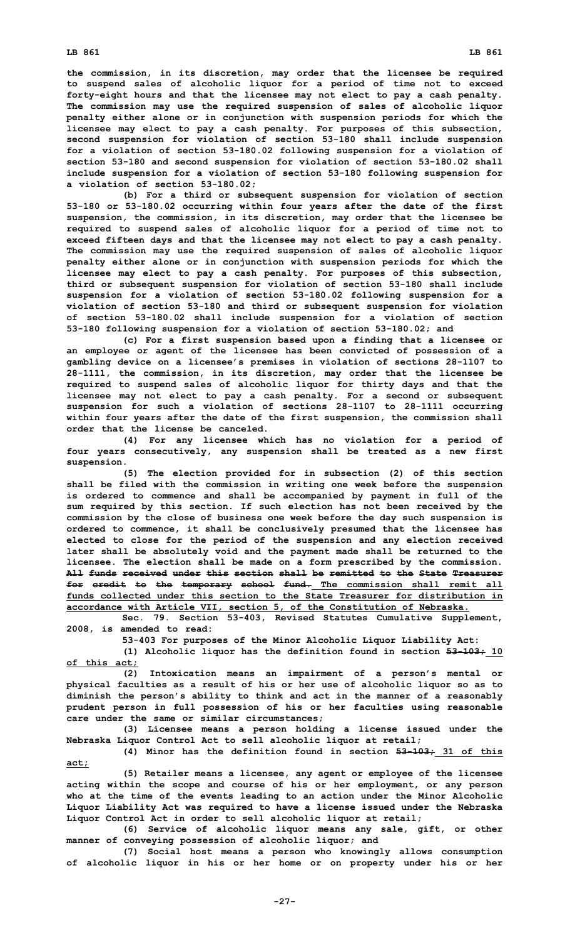**the commission, in its discretion, may order that the licensee be required to suspend sales of alcoholic liquor for <sup>a</sup> period of time not to exceed forty-eight hours and that the licensee may not elect to pay <sup>a</sup> cash penalty. The commission may use the required suspension of sales of alcoholic liquor penalty either alone or in conjunction with suspension periods for which the licensee may elect to pay <sup>a</sup> cash penalty. For purposes of this subsection, second suspension for violation of section 53-180 shall include suspension for <sup>a</sup> violation of section 53-180.02 following suspension for <sup>a</sup> violation of section 53-180 and second suspension for violation of section 53-180.02 shall include suspension for <sup>a</sup> violation of section 53-180 following suspension for <sup>a</sup> violation of section 53-180.02;**

**(b) For <sup>a</sup> third or subsequent suspension for violation of section 53-180 or 53-180.02 occurring within four years after the date of the first suspension, the commission, in its discretion, may order that the licensee be required to suspend sales of alcoholic liquor for <sup>a</sup> period of time not to exceed fifteen days and that the licensee may not elect to pay <sup>a</sup> cash penalty. The commission may use the required suspension of sales of alcoholic liquor penalty either alone or in conjunction with suspension periods for which the licensee may elect to pay <sup>a</sup> cash penalty. For purposes of this subsection, third or subsequent suspension for violation of section 53-180 shall include suspension for <sup>a</sup> violation of section 53-180.02 following suspension for <sup>a</sup> violation of section 53-180 and third or subsequent suspension for violation of section 53-180.02 shall include suspension for <sup>a</sup> violation of section 53-180 following suspension for <sup>a</sup> violation of section 53-180.02; and**

**(c) For <sup>a</sup> first suspension based upon <sup>a</sup> finding that <sup>a</sup> licensee or an employee or agent of the licensee has been convicted of possession of <sup>a</sup> gambling device on <sup>a</sup> licensee's premises in violation of sections 28-1107 to 28-1111, the commission, in its discretion, may order that the licensee be required to suspend sales of alcoholic liquor for thirty days and that the licensee may not elect to pay <sup>a</sup> cash penalty. For <sup>a</sup> second or subsequent suspension for such <sup>a</sup> violation of sections 28-1107 to 28-1111 occurring within four years after the date of the first suspension, the commission shall order that the license be canceled.**

**(4) For any licensee which has no violation for <sup>a</sup> period of four years consecutively, any suspension shall be treated as <sup>a</sup> new first suspension.**

**(5) The election provided for in subsection (2) of this section shall be filed with the commission in writing one week before the suspension is ordered to commence and shall be accompanied by payment in full of the sum required by this section. If such election has not been received by the commission by the close of business one week before the day such suspension is ordered to commence, it shall be conclusively presumed that the licensee has elected to close for the period of the suspension and any election received later shall be absolutely void and the payment made shall be returned to the licensee. The election shall be made on <sup>a</sup> form prescribed by the commission. All funds received under this section shall be remitted to the State Treasurer for credit to the temporary school fund. The commission shall remit all funds collected under this section to the State Treasurer for distribution in accordance with Article VII, section 5, of the Constitution of Nebraska.**

**Sec. 79. Section 53-403, Revised Statutes Cumulative Supplement, 2008, is amended to read:**

**53-403 For purposes of the Minor Alcoholic Liquor Liability Act:**

**(1) Alcoholic liquor has the definition found in section 53-103; 10 of this act;**

**(2) Intoxication means an impairment of <sup>a</sup> person's mental or physical faculties as <sup>a</sup> result of his or her use of alcoholic liquor so as to diminish the person's ability to think and act in the manner of <sup>a</sup> reasonably prudent person in full possession of his or her faculties using reasonable care under the same or similar circumstances;**

**(3) Licensee means <sup>a</sup> person holding <sup>a</sup> license issued under the Nebraska Liquor Control Act to sell alcoholic liquor at retail;**

**(4) Minor has the definition found in section 53-103; 31 of this act;**

**(5) Retailer means <sup>a</sup> licensee, any agent or employee of the licensee acting within the scope and course of his or her employment, or any person who at the time of the events leading to an action under the Minor Alcoholic Liquor Liability Act was required to have <sup>a</sup> license issued under the Nebraska Liquor Control Act in order to sell alcoholic liquor at retail;**

**(6) Service of alcoholic liquor means any sale, gift, or other manner of conveying possession of alcoholic liquor; and**

**(7) Social host means <sup>a</sup> person who knowingly allows consumption of alcoholic liquor in his or her home or on property under his or her**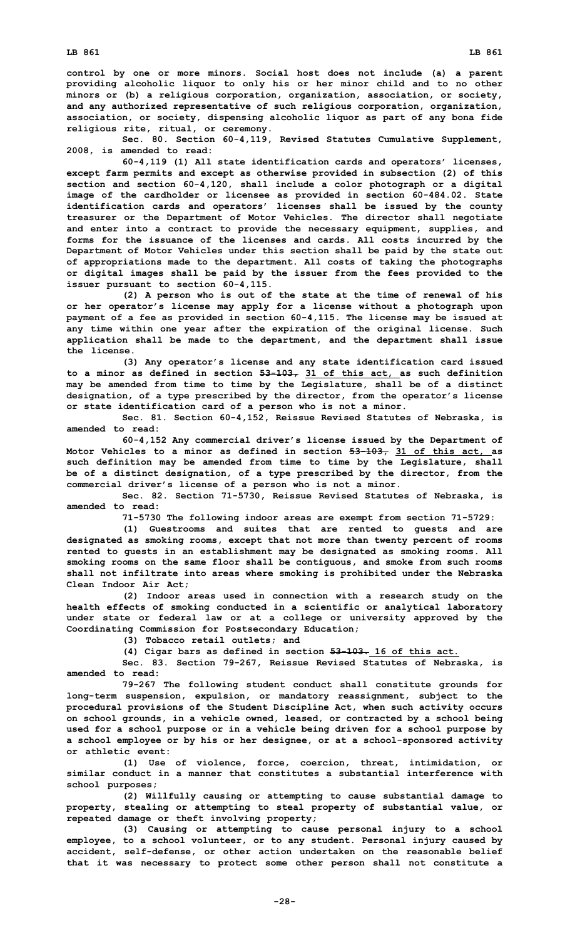**control by one or more minors. Social host does not include (a) <sup>a</sup> parent providing alcoholic liquor to only his or her minor child and to no other minors or (b) <sup>a</sup> religious corporation, organization, association, or society, and any authorized representative of such religious corporation, organization, association, or society, dispensing alcoholic liquor as part of any bona fide religious rite, ritual, or ceremony.**

**Sec. 80. Section 60-4,119, Revised Statutes Cumulative Supplement, 2008, is amended to read:**

**60-4,119 (1) All state identification cards and operators' licenses, except farm permits and except as otherwise provided in subsection (2) of this section and section 60-4,120, shall include <sup>a</sup> color photograph or <sup>a</sup> digital image of the cardholder or licensee as provided in section 60-484.02. State identification cards and operators' licenses shall be issued by the county treasurer or the Department of Motor Vehicles. The director shall negotiate and enter into <sup>a</sup> contract to provide the necessary equipment, supplies, and forms for the issuance of the licenses and cards. All costs incurred by the Department of Motor Vehicles under this section shall be paid by the state out of appropriations made to the department. All costs of taking the photographs or digital images shall be paid by the issuer from the fees provided to the issuer pursuant to section 60-4,115.**

**(2) <sup>A</sup> person who is out of the state at the time of renewal of his or her operator's license may apply for <sup>a</sup> license without <sup>a</sup> photograph upon payment of <sup>a</sup> fee as provided in section 60-4,115. The license may be issued at any time within one year after the expiration of the original license. Such application shall be made to the department, and the department shall issue the license.**

**(3) Any operator's license and any state identification card issued to <sup>a</sup> minor as defined in section 53-103, 31 of this act, as such definition may be amended from time to time by the Legislature, shall be of <sup>a</sup> distinct designation, of <sup>a</sup> type prescribed by the director, from the operator's license or state identification card of <sup>a</sup> person who is not <sup>a</sup> minor.**

**Sec. 81. Section 60-4,152, Reissue Revised Statutes of Nebraska, is amended to read:**

**60-4,152 Any commercial driver's license issued by the Department of Motor Vehicles to <sup>a</sup> minor as defined in section 53-103, 31 of this act, as such definition may be amended from time to time by the Legislature, shall be of <sup>a</sup> distinct designation, of <sup>a</sup> type prescribed by the director, from the commercial driver's license of <sup>a</sup> person who is not <sup>a</sup> minor.**

**Sec. 82. Section 71-5730, Reissue Revised Statutes of Nebraska, is amended to read:**

**71-5730 The following indoor areas are exempt from section 71-5729:**

**(1) Guestrooms and suites that are rented to guests and are designated as smoking rooms, except that not more than twenty percent of rooms rented to guests in an establishment may be designated as smoking rooms. All smoking rooms on the same floor shall be contiguous, and smoke from such rooms shall not infiltrate into areas where smoking is prohibited under the Nebraska Clean Indoor Air Act;**

**(2) Indoor areas used in connection with <sup>a</sup> research study on the health effects of smoking conducted in <sup>a</sup> scientific or analytical laboratory under state or federal law or at <sup>a</sup> college or university approved by the Coordinating Commission for Postsecondary Education;**

**(3) Tobacco retail outlets; and**

**(4) Cigar bars as defined in section 53-103. 16 of this act.**

**Sec. 83. Section 79-267, Reissue Revised Statutes of Nebraska, is amended to read:**

**79-267 The following student conduct shall constitute grounds for long-term suspension, expulsion, or mandatory reassignment, subject to the procedural provisions of the Student Discipline Act, when such activity occurs on school grounds, in <sup>a</sup> vehicle owned, leased, or contracted by <sup>a</sup> school being used for <sup>a</sup> school purpose or in <sup>a</sup> vehicle being driven for <sup>a</sup> school purpose by <sup>a</sup> school employee or by his or her designee, or at <sup>a</sup> school-sponsored activity or athletic event:**

**(1) Use of violence, force, coercion, threat, intimidation, or similar conduct in a manner that constitutes a substantial interference with school purposes;**

**(2) Willfully causing or attempting to cause substantial damage to property, stealing or attempting to steal property of substantial value, or repeated damage or theft involving property;**

**(3) Causing or attempting to cause personal injury to <sup>a</sup> school employee, to <sup>a</sup> school volunteer, or to any student. Personal injury caused by accident, self-defense, or other action undertaken on the reasonable belief that it was necessary to protect some other person shall not constitute <sup>a</sup>**